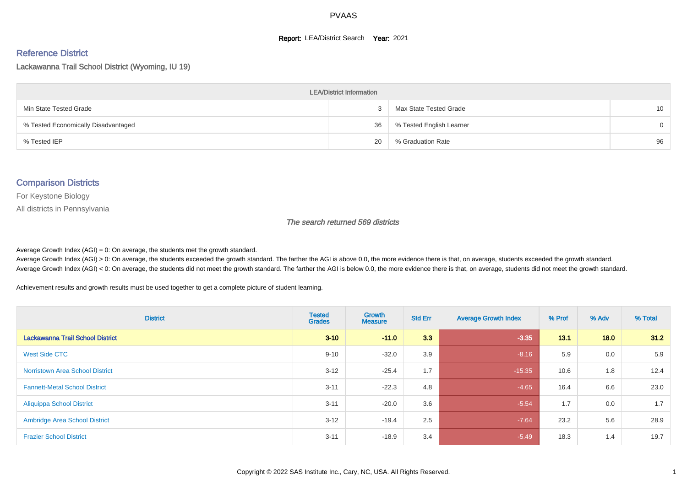#### **Report: LEA/District Search Year: 2021**

#### Reference District

Lackawanna Trail School District (Wyoming, IU 19)

| <b>LEA/District Information</b>     |    |                          |          |  |  |  |  |  |  |
|-------------------------------------|----|--------------------------|----------|--|--|--|--|--|--|
| Min State Tested Grade              |    | Max State Tested Grade   | 10       |  |  |  |  |  |  |
| % Tested Economically Disadvantaged | 36 | % Tested English Learner | $\Omega$ |  |  |  |  |  |  |
| % Tested IEP                        | 20 | % Graduation Rate        | 96       |  |  |  |  |  |  |

#### Comparison Districts

For Keystone Biology

All districts in Pennsylvania

The search returned 569 districts

Average Growth Index  $(AGI) = 0$ : On average, the students met the growth standard.

Average Growth Index (AGI) > 0: On average, the students exceeded the growth standard. The farther the AGI is above 0.0, the more evidence there is that, on average, students exceeded the growth standard. Average Growth Index (AGI) < 0: On average, the students did not meet the growth standard. The farther the AGI is below 0.0, the more evidence there is that, on average, students did not meet the growth standard.

Achievement results and growth results must be used together to get a complete picture of student learning.

| <b>District</b>                        | <b>Tested</b><br><b>Grades</b> | <b>Growth</b><br><b>Measure</b> | <b>Std Err</b> | <b>Average Growth Index</b> | % Prof | % Adv | % Total |
|----------------------------------------|--------------------------------|---------------------------------|----------------|-----------------------------|--------|-------|---------|
| Lackawanna Trail School District       | $3 - 10$                       | $-11.0$                         | 3.3            | $-3.35$                     | 13.1   | 18.0  | 31.2    |
| <b>West Side CTC</b>                   | $9 - 10$                       | $-32.0$                         | 3.9            | $-8.16$                     | 5.9    | 0.0   | 5.9     |
| <b>Norristown Area School District</b> | $3 - 12$                       | $-25.4$                         | 1.7            | $-15.35$                    | 10.6   | 1.8   | 12.4    |
| <b>Fannett-Metal School District</b>   | $3 - 11$                       | $-22.3$                         | 4.8            | $-4.65$                     | 16.4   | 6.6   | 23.0    |
| <b>Aliquippa School District</b>       | $3 - 11$                       | $-20.0$                         | 3.6            | $-5.54$                     | 1.7    | 0.0   | 1.7     |
| <b>Ambridge Area School District</b>   | $3 - 12$                       | $-19.4$                         | 2.5            | $-7.64$                     | 23.2   | 5.6   | 28.9    |
| <b>Frazier School District</b>         | $3 - 11$                       | $-18.9$                         | 3.4            | $-5.49$                     | 18.3   | 1.4   | 19.7    |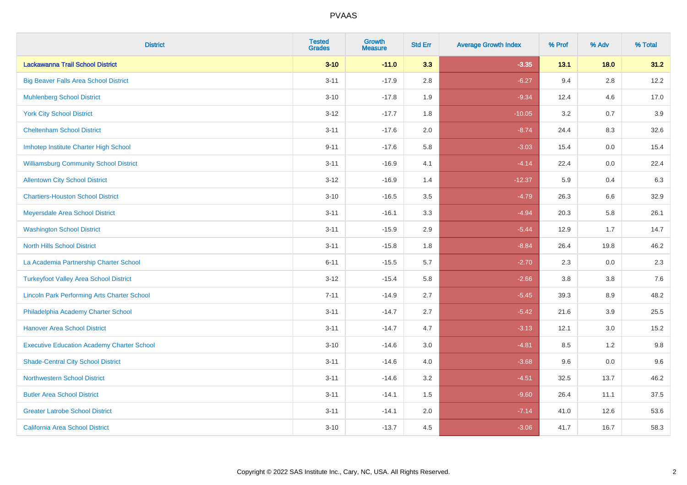| <b>District</b>                                    | <b>Tested</b><br><b>Grades</b> | <b>Growth</b><br><b>Measure</b> | <b>Std Err</b> | <b>Average Growth Index</b> | % Prof | % Adv   | % Total |
|----------------------------------------------------|--------------------------------|---------------------------------|----------------|-----------------------------|--------|---------|---------|
| Lackawanna Trail School District                   | $3 - 10$                       | $-11.0$                         | 3.3            | $-3.35$                     | 13.1   | $18.0$  | 31.2    |
| <b>Big Beaver Falls Area School District</b>       | $3 - 11$                       | $-17.9$                         | 2.8            | $-6.27$                     | 9.4    | 2.8     | 12.2    |
| <b>Muhlenberg School District</b>                  | $3 - 10$                       | $-17.8$                         | 1.9            | $-9.34$                     | 12.4   | 4.6     | 17.0    |
| <b>York City School District</b>                   | $3 - 12$                       | $-17.7$                         | 1.8            | $-10.05$                    | 3.2    | 0.7     | 3.9     |
| <b>Cheltenham School District</b>                  | $3 - 11$                       | $-17.6$                         | 2.0            | $-8.74$                     | 24.4   | 8.3     | 32.6    |
| Imhotep Institute Charter High School              | $9 - 11$                       | $-17.6$                         | 5.8            | $-3.03$                     | 15.4   | 0.0     | 15.4    |
| <b>Williamsburg Community School District</b>      | $3 - 11$                       | $-16.9$                         | 4.1            | $-4.14$                     | 22.4   | $0.0\,$ | 22.4    |
| <b>Allentown City School District</b>              | $3 - 12$                       | $-16.9$                         | 1.4            | $-12.37$                    | 5.9    | 0.4     | 6.3     |
| <b>Chartiers-Houston School District</b>           | $3 - 10$                       | $-16.5$                         | 3.5            | $-4.79$                     | 26.3   | 6.6     | 32.9    |
| Meyersdale Area School District                    | $3 - 11$                       | $-16.1$                         | 3.3            | $-4.94$                     | 20.3   | 5.8     | 26.1    |
| <b>Washington School District</b>                  | $3 - 11$                       | $-15.9$                         | 2.9            | $-5.44$                     | 12.9   | 1.7     | 14.7    |
| <b>North Hills School District</b>                 | $3 - 11$                       | $-15.8$                         | 1.8            | $-8.84$                     | 26.4   | 19.8    | 46.2    |
| La Academia Partnership Charter School             | $6 - 11$                       | $-15.5$                         | 5.7            | $-2.70$                     | 2.3    | 0.0     | 2.3     |
| <b>Turkeyfoot Valley Area School District</b>      | $3 - 12$                       | $-15.4$                         | 5.8            | $-2.66$                     | 3.8    | $3.8\,$ | 7.6     |
| <b>Lincoln Park Performing Arts Charter School</b> | $7 - 11$                       | $-14.9$                         | 2.7            | $-5.45$                     | 39.3   | 8.9     | 48.2    |
| Philadelphia Academy Charter School                | $3 - 11$                       | $-14.7$                         | 2.7            | $-5.42$                     | 21.6   | 3.9     | 25.5    |
| <b>Hanover Area School District</b>                | $3 - 11$                       | $-14.7$                         | 4.7            | $-3.13$                     | 12.1   | 3.0     | 15.2    |
| <b>Executive Education Academy Charter School</b>  | $3 - 10$                       | $-14.6$                         | 3.0            | $-4.81$                     | 8.5    | 1.2     | 9.8     |
| <b>Shade-Central City School District</b>          | $3 - 11$                       | $-14.6$                         | 4.0            | $-3.68$                     | 9.6    | 0.0     | 9.6     |
| <b>Northwestern School District</b>                | $3 - 11$                       | $-14.6$                         | 3.2            | $-4.51$                     | 32.5   | 13.7    | 46.2    |
| <b>Butler Area School District</b>                 | $3 - 11$                       | $-14.1$                         | 1.5            | $-9.60$                     | 26.4   | 11.1    | 37.5    |
| <b>Greater Latrobe School District</b>             | $3 - 11$                       | $-14.1$                         | 2.0            | $-7.14$                     | 41.0   | 12.6    | 53.6    |
| California Area School District                    | $3 - 10$                       | $-13.7$                         | 4.5            | $-3.06$                     | 41.7   | 16.7    | 58.3    |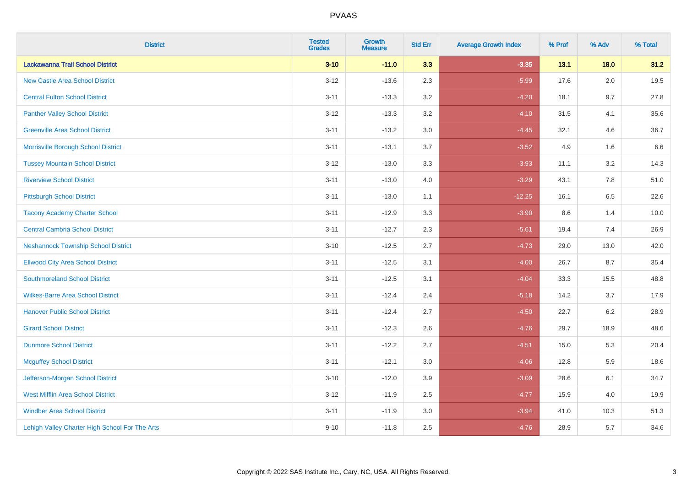| <b>District</b>                                | <b>Tested</b><br><b>Grades</b> | <b>Growth</b><br><b>Measure</b> | <b>Std Err</b> | <b>Average Growth Index</b> | % Prof | % Adv   | % Total |
|------------------------------------------------|--------------------------------|---------------------------------|----------------|-----------------------------|--------|---------|---------|
| Lackawanna Trail School District               | $3 - 10$                       | $-11.0$                         | 3.3            | $-3.35$                     | 13.1   | 18.0    | 31.2    |
| <b>New Castle Area School District</b>         | $3 - 12$                       | $-13.6$                         | 2.3            | $-5.99$                     | 17.6   | $2.0\,$ | 19.5    |
| <b>Central Fulton School District</b>          | $3 - 11$                       | $-13.3$                         | 3.2            | $-4.20$                     | 18.1   | 9.7     | 27.8    |
| <b>Panther Valley School District</b>          | $3 - 12$                       | $-13.3$                         | 3.2            | $-4.10$                     | 31.5   | 4.1     | 35.6    |
| <b>Greenville Area School District</b>         | $3 - 11$                       | $-13.2$                         | 3.0            | $-4.45$                     | 32.1   | 4.6     | 36.7    |
| Morrisville Borough School District            | $3 - 11$                       | $-13.1$                         | 3.7            | $-3.52$                     | 4.9    | 1.6     | 6.6     |
| <b>Tussey Mountain School District</b>         | $3 - 12$                       | $-13.0$                         | 3.3            | $-3.93$                     | 11.1   | 3.2     | 14.3    |
| <b>Riverview School District</b>               | $3 - 11$                       | $-13.0$                         | 4.0            | $-3.29$                     | 43.1   | 7.8     | 51.0    |
| <b>Pittsburgh School District</b>              | $3 - 11$                       | $-13.0$                         | 1.1            | $-12.25$                    | 16.1   | 6.5     | 22.6    |
| <b>Tacony Academy Charter School</b>           | $3 - 11$                       | $-12.9$                         | 3.3            | $-3.90$                     | 8.6    | 1.4     | 10.0    |
| <b>Central Cambria School District</b>         | $3 - 11$                       | $-12.7$                         | 2.3            | $-5.61$                     | 19.4   | 7.4     | 26.9    |
| <b>Neshannock Township School District</b>     | $3 - 10$                       | $-12.5$                         | 2.7            | $-4.73$                     | 29.0   | 13.0    | 42.0    |
| <b>Ellwood City Area School District</b>       | $3 - 11$                       | $-12.5$                         | 3.1            | $-4.00$                     | 26.7   | 8.7     | 35.4    |
| <b>Southmoreland School District</b>           | $3 - 11$                       | $-12.5$                         | 3.1            | $-4.04$                     | 33.3   | 15.5    | 48.8    |
| <b>Wilkes-Barre Area School District</b>       | $3 - 11$                       | $-12.4$                         | 2.4            | $-5.18$                     | 14.2   | 3.7     | 17.9    |
| <b>Hanover Public School District</b>          | $3 - 11$                       | $-12.4$                         | 2.7            | $-4.50$                     | 22.7   | $6.2\,$ | 28.9    |
| <b>Girard School District</b>                  | $3 - 11$                       | $-12.3$                         | 2.6            | $-4.76$                     | 29.7   | 18.9    | 48.6    |
| <b>Dunmore School District</b>                 | $3 - 11$                       | $-12.2$                         | 2.7            | $-4.51$                     | 15.0   | 5.3     | 20.4    |
| <b>Mcguffey School District</b>                | $3 - 11$                       | $-12.1$                         | 3.0            | $-4.06$                     | 12.8   | 5.9     | 18.6    |
| Jefferson-Morgan School District               | $3 - 10$                       | $-12.0$                         | 3.9            | $-3.09$                     | 28.6   | 6.1     | 34.7    |
| <b>West Mifflin Area School District</b>       | $3 - 12$                       | $-11.9$                         | 2.5            | $-4.77$                     | 15.9   | 4.0     | 19.9    |
| <b>Windber Area School District</b>            | $3 - 11$                       | $-11.9$                         | 3.0            | $-3.94$                     | 41.0   | 10.3    | 51.3    |
| Lehigh Valley Charter High School For The Arts | $9 - 10$                       | $-11.8$                         | 2.5            | $-4.76$                     | 28.9   | 5.7     | 34.6    |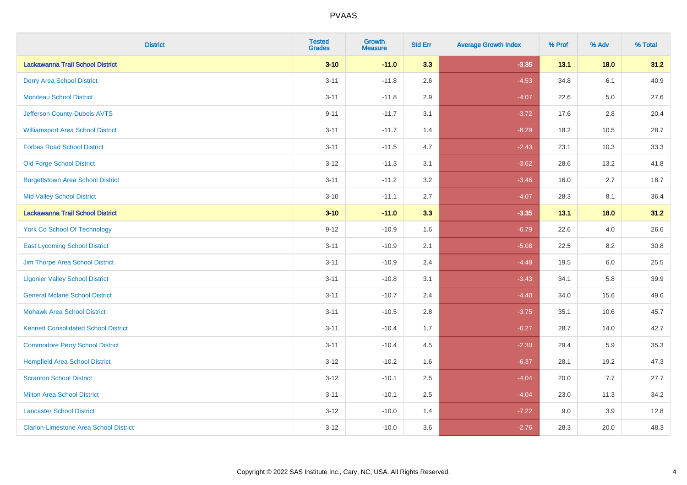| <b>District</b>                               | <b>Tested</b><br><b>Grades</b> | <b>Growth</b><br><b>Measure</b> | <b>Std Err</b> | <b>Average Growth Index</b> | % Prof | % Adv   | % Total |
|-----------------------------------------------|--------------------------------|---------------------------------|----------------|-----------------------------|--------|---------|---------|
| Lackawanna Trail School District              | $3 - 10$                       | $-11.0$                         | 3.3            | $-3.35$                     | 13.1   | 18.0    | 31.2    |
| <b>Derry Area School District</b>             | $3 - 11$                       | $-11.8$                         | 2.6            | $-4.53$                     | 34.8   | 6.1     | 40.9    |
| <b>Moniteau School District</b>               | $3 - 11$                       | $-11.8$                         | 2.9            | $-4.07$                     | 22.6   | $5.0\,$ | 27.6    |
| Jefferson County-Dubois AVTS                  | $9 - 11$                       | $-11.7$                         | 3.1            | $-3.72$                     | 17.6   | 2.8     | 20.4    |
| <b>Williamsport Area School District</b>      | $3 - 11$                       | $-11.7$                         | 1.4            | $-8.29$                     | 18.2   | 10.5    | 28.7    |
| <b>Forbes Road School District</b>            | $3 - 11$                       | $-11.5$                         | 4.7            | $-2.43$                     | 23.1   | 10.3    | 33.3    |
| <b>Old Forge School District</b>              | $3 - 12$                       | $-11.3$                         | 3.1            | $-3.62$                     | 28.6   | 13.2    | 41.8    |
| <b>Burgettstown Area School District</b>      | $3 - 11$                       | $-11.2$                         | 3.2            | $-3.46$                     | 16.0   | 2.7     | 18.7    |
| <b>Mid Valley School District</b>             | $3 - 10$                       | $-11.1$                         | 2.7            | $-4.07$                     | 28.3   | 8.1     | 36.4    |
| Lackawanna Trail School District              | $3 - 10$                       | $-11.0$                         | 3.3            | $-3.35$                     | 13.1   | 18.0    | 31.2    |
| <b>York Co School Of Technology</b>           | $9 - 12$                       | $-10.9$                         | 1.6            | $-6.79$                     | 22.6   | 4.0     | 26.6    |
| <b>East Lycoming School District</b>          | $3 - 11$                       | $-10.9$                         | 2.1            | $-5.08$                     | 22.5   | 8.2     | 30.8    |
| Jim Thorpe Area School District               | $3 - 11$                       | $-10.9$                         | 2.4            | $-4.48$                     | 19.5   | 6.0     | 25.5    |
| <b>Ligonier Valley School District</b>        | $3 - 11$                       | $-10.8$                         | 3.1            | $-3.43$                     | 34.1   | 5.8     | 39.9    |
| <b>General Mclane School District</b>         | $3 - 11$                       | $-10.7$                         | 2.4            | $-4.40$                     | 34.0   | 15.6    | 49.6    |
| <b>Mohawk Area School District</b>            | $3 - 11$                       | $-10.5$                         | 2.8            | $-3.75$                     | 35.1   | 10.6    | 45.7    |
| <b>Kennett Consolidated School District</b>   | $3 - 11$                       | $-10.4$                         | 1.7            | $-6.27$                     | 28.7   | 14.0    | 42.7    |
| <b>Commodore Perry School District</b>        | $3 - 11$                       | $-10.4$                         | 4.5            | $-2.30$                     | 29.4   | 5.9     | 35.3    |
| <b>Hempfield Area School District</b>         | $3 - 12$                       | $-10.2$                         | 1.6            | $-6.37$                     | 28.1   | 19.2    | 47.3    |
| <b>Scranton School District</b>               | $3 - 12$                       | $-10.1$                         | 2.5            | $-4.04$                     | 20.0   | 7.7     | 27.7    |
| <b>Milton Area School District</b>            | $3 - 11$                       | $-10.1$                         | $2.5\,$        | $-4.04$                     | 23.0   | 11.3    | 34.2    |
| <b>Lancaster School District</b>              | $3 - 12$                       | $-10.0$                         | 1.4            | $-7.22$                     | 9.0    | 3.9     | 12.8    |
| <b>Clarion-Limestone Area School District</b> | $3 - 12$                       | $-10.0$                         | 3.6            | $-2.76$                     | 28.3   | 20.0    | 48.3    |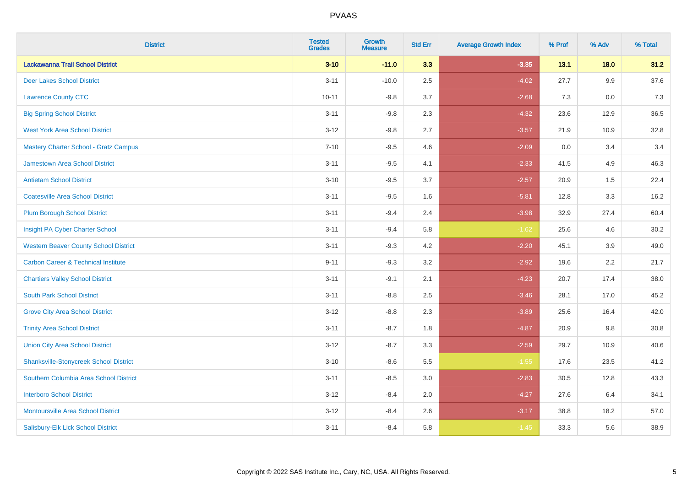| <b>District</b>                                | <b>Tested</b><br><b>Grades</b> | <b>Growth</b><br><b>Measure</b> | <b>Std Err</b> | <b>Average Growth Index</b> | % Prof | % Adv  | % Total |
|------------------------------------------------|--------------------------------|---------------------------------|----------------|-----------------------------|--------|--------|---------|
| Lackawanna Trail School District               | $3 - 10$                       | $-11.0$                         | 3.3            | $-3.35$                     | 13.1   | $18.0$ | 31.2    |
| <b>Deer Lakes School District</b>              | $3 - 11$                       | $-10.0$                         | 2.5            | $-4.02$                     | 27.7   | 9.9    | 37.6    |
| <b>Lawrence County CTC</b>                     | $10 - 11$                      | $-9.8$                          | 3.7            | $-2.68$                     | 7.3    | 0.0    | 7.3     |
| <b>Big Spring School District</b>              | $3 - 11$                       | $-9.8$                          | 2.3            | $-4.32$                     | 23.6   | 12.9   | 36.5    |
| <b>West York Area School District</b>          | $3 - 12$                       | $-9.8$                          | 2.7            | $-3.57$                     | 21.9   | 10.9   | 32.8    |
| <b>Mastery Charter School - Gratz Campus</b>   | $7 - 10$                       | $-9.5$                          | 4.6            | $-2.09$                     | 0.0    | 3.4    | 3.4     |
| Jamestown Area School District                 | $3 - 11$                       | $-9.5$                          | 4.1            | $-2.33$                     | 41.5   | 4.9    | 46.3    |
| <b>Antietam School District</b>                | $3 - 10$                       | $-9.5$                          | 3.7            | $-2.57$                     | 20.9   | 1.5    | 22.4    |
| <b>Coatesville Area School District</b>        | $3 - 11$                       | $-9.5$                          | 1.6            | $-5.81$                     | 12.8   | 3.3    | 16.2    |
| <b>Plum Borough School District</b>            | $3 - 11$                       | $-9.4$                          | 2.4            | $-3.98$                     | 32.9   | 27.4   | 60.4    |
| Insight PA Cyber Charter School                | $3 - 11$                       | $-9.4$                          | 5.8            | $-1.62$                     | 25.6   | 4.6    | 30.2    |
| <b>Western Beaver County School District</b>   | $3 - 11$                       | $-9.3$                          | 4.2            | $-2.20$                     | 45.1   | 3.9    | 49.0    |
| <b>Carbon Career &amp; Technical Institute</b> | $9 - 11$                       | $-9.3$                          | 3.2            | $-2.92$                     | 19.6   | 2.2    | 21.7    |
| <b>Chartiers Valley School District</b>        | $3 - 11$                       | $-9.1$                          | 2.1            | $-4.23$                     | 20.7   | 17.4   | 38.0    |
| <b>South Park School District</b>              | $3 - 11$                       | $-8.8$                          | 2.5            | $-3.46$                     | 28.1   | 17.0   | 45.2    |
| <b>Grove City Area School District</b>         | $3 - 12$                       | $-8.8$                          | 2.3            | $-3.89$                     | 25.6   | 16.4   | 42.0    |
| <b>Trinity Area School District</b>            | $3 - 11$                       | $-8.7$                          | 1.8            | $-4.87$                     | 20.9   | 9.8    | 30.8    |
| <b>Union City Area School District</b>         | $3 - 12$                       | $-8.7$                          | 3.3            | $-2.59$                     | 29.7   | 10.9   | 40.6    |
| <b>Shanksville-Stonycreek School District</b>  | $3 - 10$                       | $-8.6$                          | 5.5            | $-1.55$                     | 17.6   | 23.5   | 41.2    |
| Southern Columbia Area School District         | $3 - 11$                       | $-8.5$                          | 3.0            | $-2.83$                     | 30.5   | 12.8   | 43.3    |
| <b>Interboro School District</b>               | $3 - 12$                       | $-8.4$                          | 2.0            | $-4.27$                     | 27.6   | 6.4    | 34.1    |
| <b>Montoursville Area School District</b>      | $3 - 12$                       | $-8.4$                          | 2.6            | $-3.17$                     | 38.8   | 18.2   | 57.0    |
| Salisbury-Elk Lick School District             | $3 - 11$                       | $-8.4$                          | 5.8            | $-1.45$                     | 33.3   | 5.6    | 38.9    |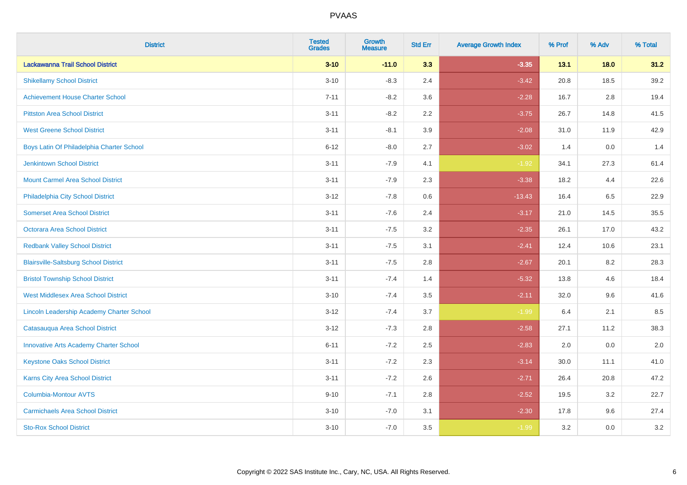| <b>District</b>                                  | <b>Tested</b><br><b>Grades</b> | <b>Growth</b><br><b>Measure</b> | <b>Std Err</b> | <b>Average Growth Index</b> | % Prof | % Adv   | % Total |
|--------------------------------------------------|--------------------------------|---------------------------------|----------------|-----------------------------|--------|---------|---------|
| Lackawanna Trail School District                 | $3 - 10$                       | $-11.0$                         | 3.3            | $-3.35$                     | 13.1   | 18.0    | 31.2    |
| <b>Shikellamy School District</b>                | $3 - 10$                       | $-8.3$                          | 2.4            | $-3.42$                     | 20.8   | 18.5    | 39.2    |
| <b>Achievement House Charter School</b>          | $7 - 11$                       | $-8.2$                          | 3.6            | $-2.28$                     | 16.7   | 2.8     | 19.4    |
| <b>Pittston Area School District</b>             | $3 - 11$                       | $-8.2$                          | 2.2            | $-3.75$                     | 26.7   | 14.8    | 41.5    |
| <b>West Greene School District</b>               | $3 - 11$                       | $-8.1$                          | 3.9            | $-2.08$                     | 31.0   | 11.9    | 42.9    |
| Boys Latin Of Philadelphia Charter School        | $6 - 12$                       | $-8.0$                          | 2.7            | $-3.02$                     | 1.4    | 0.0     | 1.4     |
| Jenkintown School District                       | $3 - 11$                       | $-7.9$                          | 4.1            | $-1.92$                     | 34.1   | 27.3    | 61.4    |
| <b>Mount Carmel Area School District</b>         | $3 - 11$                       | $-7.9$                          | 2.3            | $-3.38$                     | 18.2   | 4.4     | 22.6    |
| Philadelphia City School District                | $3 - 12$                       | $-7.8$                          | 0.6            | $-13.43$                    | 16.4   | 6.5     | 22.9    |
| <b>Somerset Area School District</b>             | $3 - 11$                       | $-7.6$                          | 2.4            | $-3.17$                     | 21.0   | 14.5    | 35.5    |
| Octorara Area School District                    | $3 - 11$                       | $-7.5$                          | 3.2            | $-2.35$                     | 26.1   | 17.0    | 43.2    |
| <b>Redbank Valley School District</b>            | $3 - 11$                       | $-7.5$                          | 3.1            | $-2.41$                     | 12.4   | 10.6    | 23.1    |
| <b>Blairsville-Saltsburg School District</b>     | $3 - 11$                       | $-7.5$                          | 2.8            | $-2.67$                     | 20.1   | $8.2\,$ | 28.3    |
| <b>Bristol Township School District</b>          | $3 - 11$                       | $-7.4$                          | 1.4            | $-5.32$                     | 13.8   | 4.6     | 18.4    |
| <b>West Middlesex Area School District</b>       | $3 - 10$                       | $-7.4$                          | 3.5            | $-2.11$                     | 32.0   | 9.6     | 41.6    |
| <b>Lincoln Leadership Academy Charter School</b> | $3 - 12$                       | $-7.4$                          | 3.7            | $-1.99$                     | 6.4    | 2.1     | 8.5     |
| Catasauqua Area School District                  | $3 - 12$                       | $-7.3$                          | 2.8            | $-2.58$                     | 27.1   | 11.2    | 38.3    |
| <b>Innovative Arts Academy Charter School</b>    | $6 - 11$                       | $-7.2$                          | 2.5            | $-2.83$                     | 2.0    | 0.0     | 2.0     |
| <b>Keystone Oaks School District</b>             | $3 - 11$                       | $-7.2$                          | 2.3            | $-3.14$                     | 30.0   | 11.1    | 41.0    |
| Karns City Area School District                  | $3 - 11$                       | $-7.2$                          | 2.6            | $-2.71$                     | 26.4   | 20.8    | 47.2    |
| Columbia-Montour AVTS                            | $9 - 10$                       | $-7.1$                          | 2.8            | $-2.52$                     | 19.5   | 3.2     | 22.7    |
| <b>Carmichaels Area School District</b>          | $3 - 10$                       | $-7.0$                          | 3.1            | $-2.30$                     | 17.8   | 9.6     | 27.4    |
| <b>Sto-Rox School District</b>                   | $3 - 10$                       | $-7.0$                          | 3.5            | $-1.99$                     | 3.2    | 0.0     | 3.2     |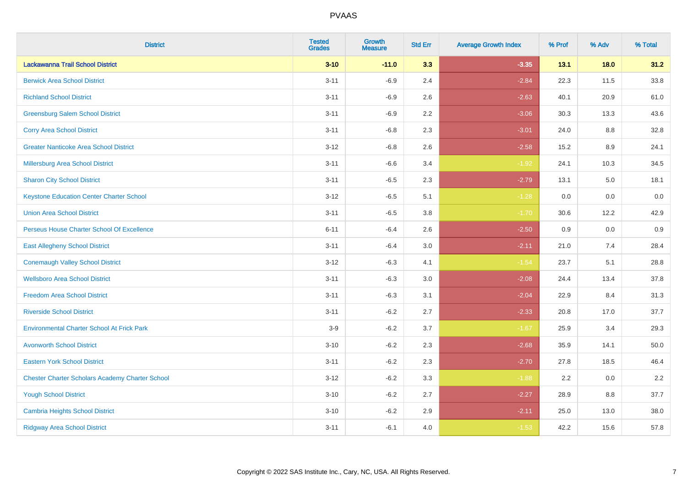| <b>District</b>                                        | <b>Tested</b><br><b>Grades</b> | <b>Growth</b><br><b>Measure</b> | <b>Std Err</b> | <b>Average Growth Index</b> | % Prof | % Adv   | % Total  |
|--------------------------------------------------------|--------------------------------|---------------------------------|----------------|-----------------------------|--------|---------|----------|
| Lackawanna Trail School District                       | $3 - 10$                       | $-11.0$                         | 3.3            | $-3.35$                     | 13.1   | 18.0    | 31.2     |
| <b>Berwick Area School District</b>                    | $3 - 11$                       | $-6.9$                          | 2.4            | $-2.84$                     | 22.3   | 11.5    | 33.8     |
| <b>Richland School District</b>                        | $3 - 11$                       | $-6.9$                          | 2.6            | $-2.63$                     | 40.1   | 20.9    | 61.0     |
| <b>Greensburg Salem School District</b>                | $3 - 11$                       | $-6.9$                          | 2.2            | $-3.06$                     | 30.3   | 13.3    | 43.6     |
| <b>Corry Area School District</b>                      | $3 - 11$                       | $-6.8$                          | 2.3            | $-3.01$                     | 24.0   | 8.8     | 32.8     |
| <b>Greater Nanticoke Area School District</b>          | $3 - 12$                       | $-6.8$                          | 2.6            | $-2.58$                     | 15.2   | $8.9\,$ | 24.1     |
| Millersburg Area School District                       | $3 - 11$                       | $-6.6$                          | 3.4            | $-1.92$                     | 24.1   | 10.3    | 34.5     |
| <b>Sharon City School District</b>                     | $3 - 11$                       | $-6.5$                          | 2.3            | $-2.79$                     | 13.1   | 5.0     | 18.1     |
| <b>Keystone Education Center Charter School</b>        | $3 - 12$                       | $-6.5$                          | 5.1            | $-1.28$                     | 0.0    | 0.0     | $0.0\,$  |
| <b>Union Area School District</b>                      | $3 - 11$                       | $-6.5$                          | 3.8            | $-1.70$                     | 30.6   | 12.2    | 42.9     |
| Perseus House Charter School Of Excellence             | $6 - 11$                       | $-6.4$                          | 2.6            | $-2.50$                     | 0.9    | 0.0     | 0.9      |
| <b>East Allegheny School District</b>                  | $3 - 11$                       | $-6.4$                          | 3.0            | $-2.11$                     | 21.0   | 7.4     | 28.4     |
| <b>Conemaugh Valley School District</b>                | $3 - 12$                       | $-6.3$                          | 4.1            | $-1.54$                     | 23.7   | 5.1     | 28.8     |
| <b>Wellsboro Area School District</b>                  | $3 - 11$                       | $-6.3$                          | 3.0            | $-2.08$                     | 24.4   | 13.4    | 37.8     |
| <b>Freedom Area School District</b>                    | $3 - 11$                       | $-6.3$                          | 3.1            | $-2.04$                     | 22.9   | 8.4     | 31.3     |
| <b>Riverside School District</b>                       | $3 - 11$                       | $-6.2$                          | 2.7            | $-2.33$                     | 20.8   | 17.0    | 37.7     |
| <b>Environmental Charter School At Frick Park</b>      | $3-9$                          | $-6.2$                          | 3.7            | $-1.67$                     | 25.9   | 3.4     | 29.3     |
| <b>Avonworth School District</b>                       | $3 - 10$                       | $-6.2$                          | 2.3            | $-2.68$                     | 35.9   | 14.1    | $50.0\,$ |
| <b>Eastern York School District</b>                    | $3 - 11$                       | $-6.2$                          | 2.3            | $-2.70$                     | 27.8   | 18.5    | 46.4     |
| <b>Chester Charter Scholars Academy Charter School</b> | $3 - 12$                       | $-6.2$                          | 3.3            | $-1.88$                     | 2.2    | 0.0     | 2.2      |
| <b>Yough School District</b>                           | $3 - 10$                       | $-6.2$                          | 2.7            | $-2.27$                     | 28.9   | 8.8     | 37.7     |
| <b>Cambria Heights School District</b>                 | $3 - 10$                       | $-6.2$                          | 2.9            | $-2.11$                     | 25.0   | 13.0    | 38.0     |
| <b>Ridgway Area School District</b>                    | $3 - 11$                       | $-6.1$                          | 4.0            | $-1.53$                     | 42.2   | 15.6    | 57.8     |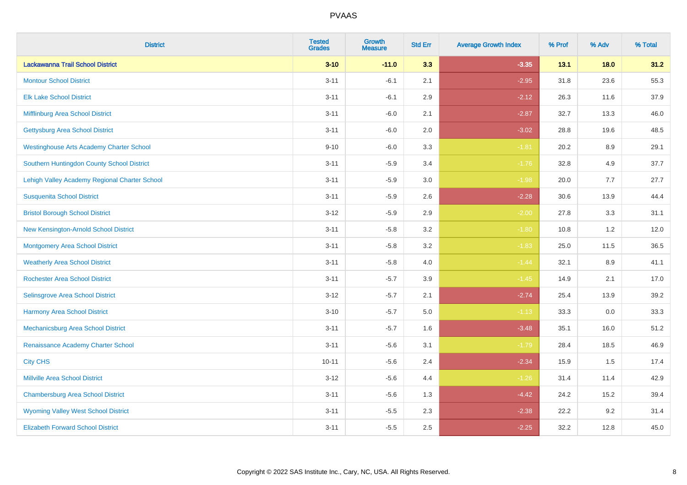| <b>District</b>                                 | <b>Tested</b><br><b>Grades</b> | <b>Growth</b><br><b>Measure</b> | <b>Std Err</b> | <b>Average Growth Index</b> | % Prof | % Adv   | % Total |
|-------------------------------------------------|--------------------------------|---------------------------------|----------------|-----------------------------|--------|---------|---------|
| Lackawanna Trail School District                | $3 - 10$                       | $-11.0$                         | 3.3            | $-3.35$                     | 13.1   | 18.0    | 31.2    |
| <b>Montour School District</b>                  | $3 - 11$                       | $-6.1$                          | 2.1            | $-2.95$                     | 31.8   | 23.6    | 55.3    |
| <b>Elk Lake School District</b>                 | $3 - 11$                       | $-6.1$                          | 2.9            | $-2.12$                     | 26.3   | 11.6    | 37.9    |
| Mifflinburg Area School District                | $3 - 11$                       | $-6.0$                          | 2.1            | $-2.87$                     | 32.7   | 13.3    | 46.0    |
| <b>Gettysburg Area School District</b>          | $3 - 11$                       | $-6.0$                          | 2.0            | $-3.02$                     | 28.8   | 19.6    | 48.5    |
| <b>Westinghouse Arts Academy Charter School</b> | $9 - 10$                       | $-6.0$                          | 3.3            | $-1.81$                     | 20.2   | 8.9     | 29.1    |
| Southern Huntingdon County School District      | $3 - 11$                       | $-5.9$                          | 3.4            | $-1.76$                     | 32.8   | 4.9     | 37.7    |
| Lehigh Valley Academy Regional Charter School   | $3 - 11$                       | $-5.9$                          | 3.0            | $-1.98$                     | 20.0   | 7.7     | 27.7    |
| <b>Susquenita School District</b>               | $3 - 11$                       | $-5.9$                          | 2.6            | $-2.28$                     | 30.6   | 13.9    | 44.4    |
| <b>Bristol Borough School District</b>          | $3 - 12$                       | $-5.9$                          | 2.9            | $-2.00$                     | 27.8   | 3.3     | 31.1    |
| New Kensington-Arnold School District           | $3 - 11$                       | $-5.8$                          | 3.2            | $-1.80$                     | 10.8   | 1.2     | 12.0    |
| <b>Montgomery Area School District</b>          | $3 - 11$                       | $-5.8$                          | 3.2            | $-1.83$                     | 25.0   | 11.5    | 36.5    |
| <b>Weatherly Area School District</b>           | $3 - 11$                       | $-5.8$                          | 4.0            | $-1.44$                     | 32.1   | $8.9\,$ | 41.1    |
| <b>Rochester Area School District</b>           | $3 - 11$                       | $-5.7$                          | 3.9            | $-1.45$                     | 14.9   | 2.1     | 17.0    |
| Selinsgrove Area School District                | $3 - 12$                       | $-5.7$                          | 2.1            | $-2.74$                     | 25.4   | 13.9    | 39.2    |
| Harmony Area School District                    | $3 - 10$                       | $-5.7$                          | $5.0\,$        | $-1.13$                     | 33.3   | $0.0\,$ | 33.3    |
| Mechanicsburg Area School District              | $3 - 11$                       | $-5.7$                          | 1.6            | $-3.48$                     | 35.1   | 16.0    | 51.2    |
| Renaissance Academy Charter School              | $3 - 11$                       | $-5.6$                          | 3.1            | $-1.79$                     | 28.4   | 18.5    | 46.9    |
| <b>City CHS</b>                                 | $10 - 11$                      | $-5.6$                          | 2.4            | $-2.34$                     | 15.9   | 1.5     | 17.4    |
| <b>Millville Area School District</b>           | $3 - 12$                       | $-5.6$                          | 4.4            | $-1.26$                     | 31.4   | 11.4    | 42.9    |
| <b>Chambersburg Area School District</b>        | $3 - 11$                       | $-5.6$                          | 1.3            | $-4.42$                     | 24.2   | 15.2    | 39.4    |
| <b>Wyoming Valley West School District</b>      | $3 - 11$                       | $-5.5$                          | 2.3            | $-2.38$                     | 22.2   | 9.2     | 31.4    |
| <b>Elizabeth Forward School District</b>        | $3 - 11$                       | $-5.5$                          | 2.5            | $-2.25$                     | 32.2   | 12.8    | 45.0    |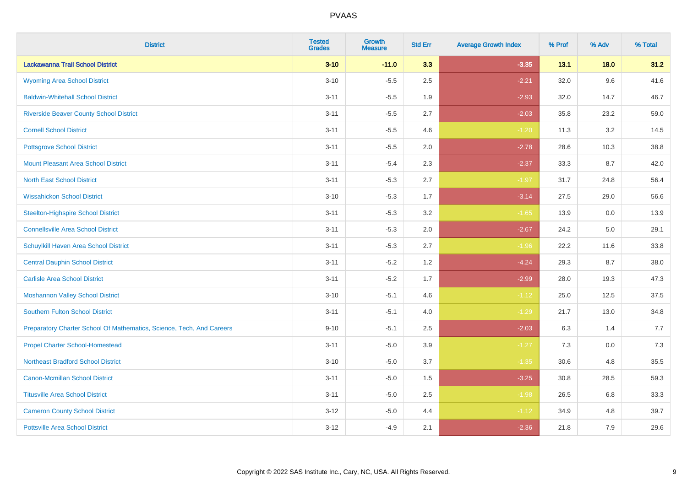| <b>District</b>                                                       | <b>Tested</b><br><b>Grades</b> | Growth<br><b>Measure</b> | <b>Std Err</b> | <b>Average Growth Index</b> | % Prof | % Adv  | % Total |
|-----------------------------------------------------------------------|--------------------------------|--------------------------|----------------|-----------------------------|--------|--------|---------|
| Lackawanna Trail School District                                      | $3 - 10$                       | $-11.0$                  | 3.3            | $-3.35$                     | 13.1   | $18.0$ | 31.2    |
| <b>Wyoming Area School District</b>                                   | $3 - 10$                       | $-5.5$                   | 2.5            | $-2.21$                     | 32.0   | 9.6    | 41.6    |
| <b>Baldwin-Whitehall School District</b>                              | $3 - 11$                       | $-5.5$                   | 1.9            | $-2.93$                     | 32.0   | 14.7   | 46.7    |
| <b>Riverside Beaver County School District</b>                        | $3 - 11$                       | $-5.5$                   | 2.7            | $-2.03$                     | 35.8   | 23.2   | 59.0    |
| <b>Cornell School District</b>                                        | $3 - 11$                       | $-5.5$                   | 4.6            | $-1.20$                     | 11.3   | 3.2    | 14.5    |
| <b>Pottsgrove School District</b>                                     | $3 - 11$                       | $-5.5$                   | 2.0            | $-2.78$                     | 28.6   | 10.3   | 38.8    |
| <b>Mount Pleasant Area School District</b>                            | $3 - 11$                       | $-5.4$                   | 2.3            | $-2.37$                     | 33.3   | 8.7    | 42.0    |
| <b>North East School District</b>                                     | $3 - 11$                       | $-5.3$                   | 2.7            | $-1.97$                     | 31.7   | 24.8   | 56.4    |
| <b>Wissahickon School District</b>                                    | $3 - 10$                       | $-5.3$                   | 1.7            | $-3.14$                     | 27.5   | 29.0   | 56.6    |
| <b>Steelton-Highspire School District</b>                             | $3 - 11$                       | $-5.3$                   | 3.2            | $-1.65$                     | 13.9   | 0.0    | 13.9    |
| <b>Connellsville Area School District</b>                             | $3 - 11$                       | $-5.3$                   | 2.0            | $-2.67$                     | 24.2   | 5.0    | 29.1    |
| Schuylkill Haven Area School District                                 | $3 - 11$                       | $-5.3$                   | 2.7            | $-1.96$                     | 22.2   | 11.6   | 33.8    |
| <b>Central Dauphin School District</b>                                | $3 - 11$                       | $-5.2$                   | 1.2            | $-4.24$                     | 29.3   | 8.7    | 38.0    |
| <b>Carlisle Area School District</b>                                  | $3 - 11$                       | $-5.2$                   | 1.7            | $-2.99$                     | 28.0   | 19.3   | 47.3    |
| <b>Moshannon Valley School District</b>                               | $3 - 10$                       | $-5.1$                   | 4.6            | $-1.12$                     | 25.0   | 12.5   | 37.5    |
| <b>Southern Fulton School District</b>                                | $3 - 11$                       | $-5.1$                   | 4.0            | $-1.29$                     | 21.7   | 13.0   | 34.8    |
| Preparatory Charter School Of Mathematics, Science, Tech, And Careers | $9 - 10$                       | $-5.1$                   | 2.5            | $-2.03$                     | 6.3    | 1.4    | 7.7     |
| <b>Propel Charter School-Homestead</b>                                | $3 - 11$                       | $-5.0$                   | 3.9            | $-1.27$                     | 7.3    | 0.0    | 7.3     |
| <b>Northeast Bradford School District</b>                             | $3 - 10$                       | $-5.0$                   | 3.7            | $-1.35$                     | 30.6   | 4.8    | 35.5    |
| <b>Canon-Mcmillan School District</b>                                 | $3 - 11$                       | $-5.0$                   | 1.5            | $-3.25$                     | 30.8   | 28.5   | 59.3    |
| <b>Titusville Area School District</b>                                | $3 - 11$                       | $-5.0$                   | 2.5            | $-1.98$                     | 26.5   | 6.8    | 33.3    |
| <b>Cameron County School District</b>                                 | $3 - 12$                       | $-5.0$                   | 4.4            | $-1.12$                     | 34.9   | 4.8    | 39.7    |
| <b>Pottsville Area School District</b>                                | $3 - 12$                       | $-4.9$                   | 2.1            | $-2.36$                     | 21.8   | 7.9    | 29.6    |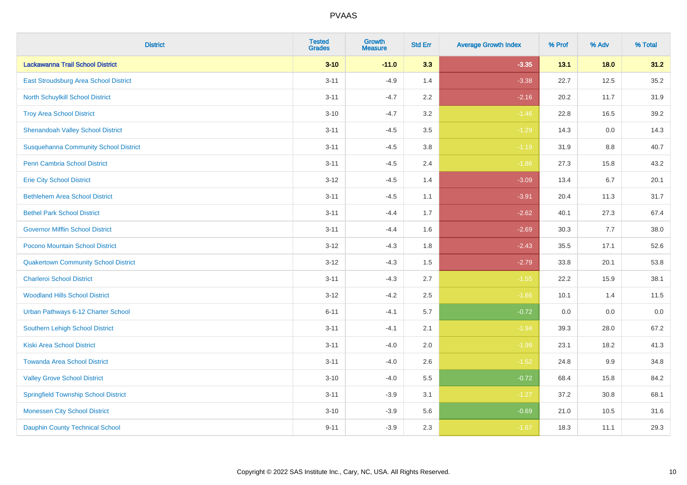| <b>District</b>                              | <b>Tested</b><br><b>Grades</b> | <b>Growth</b><br><b>Measure</b> | <b>Std Err</b> | <b>Average Growth Index</b> | % Prof | % Adv   | % Total |
|----------------------------------------------|--------------------------------|---------------------------------|----------------|-----------------------------|--------|---------|---------|
| Lackawanna Trail School District             | $3 - 10$                       | $-11.0$                         | 3.3            | $-3.35$                     | 13.1   | 18.0    | 31.2    |
| East Stroudsburg Area School District        | $3 - 11$                       | $-4.9$                          | 1.4            | $-3.38$                     | 22.7   | 12.5    | 35.2    |
| <b>North Schuylkill School District</b>      | $3 - 11$                       | $-4.7$                          | 2.2            | $-2.16$                     | 20.2   | 11.7    | 31.9    |
| <b>Troy Area School District</b>             | $3 - 10$                       | $-4.7$                          | 3.2            | $-1.46$                     | 22.8   | 16.5    | 39.2    |
| <b>Shenandoah Valley School District</b>     | $3 - 11$                       | $-4.5$                          | 3.5            | $-1.29$                     | 14.3   | 0.0     | 14.3    |
| <b>Susquehanna Community School District</b> | $3 - 11$                       | $-4.5$                          | 3.8            | $-1.19$                     | 31.9   | 8.8     | 40.7    |
| <b>Penn Cambria School District</b>          | $3 - 11$                       | $-4.5$                          | 2.4            | $-1.86$                     | 27.3   | 15.8    | 43.2    |
| <b>Erie City School District</b>             | $3 - 12$                       | $-4.5$                          | 1.4            | $-3.09$                     | 13.4   | 6.7     | 20.1    |
| <b>Bethlehem Area School District</b>        | $3 - 11$                       | $-4.5$                          | 1.1            | $-3.91$                     | 20.4   | 11.3    | 31.7    |
| <b>Bethel Park School District</b>           | $3 - 11$                       | $-4.4$                          | 1.7            | $-2.62$                     | 40.1   | 27.3    | 67.4    |
| <b>Governor Mifflin School District</b>      | $3 - 11$                       | $-4.4$                          | 1.6            | $-2.69$                     | 30.3   | 7.7     | 38.0    |
| Pocono Mountain School District              | $3 - 12$                       | $-4.3$                          | 1.8            | $-2.43$                     | 35.5   | 17.1    | 52.6    |
| <b>Quakertown Community School District</b>  | $3 - 12$                       | $-4.3$                          | $1.5\,$        | $-2.79$                     | 33.8   | 20.1    | 53.8    |
| <b>Charleroi School District</b>             | $3 - 11$                       | $-4.3$                          | 2.7            | $-1.55$                     | 22.2   | 15.9    | 38.1    |
| <b>Woodland Hills School District</b>        | $3 - 12$                       | $-4.2$                          | 2.5            | $-1.66$                     | 10.1   | 1.4     | 11.5    |
| Urban Pathways 6-12 Charter School           | $6 - 11$                       | $-4.1$                          | 5.7            | $-0.72$                     | 0.0    | $0.0\,$ | $0.0\,$ |
| <b>Southern Lehigh School District</b>       | $3 - 11$                       | $-4.1$                          | 2.1            | $-1.94$                     | 39.3   | 28.0    | 67.2    |
| <b>Kiski Area School District</b>            | $3 - 11$                       | $-4.0$                          | 2.0            | $-1.99$                     | 23.1   | 18.2    | 41.3    |
| <b>Towanda Area School District</b>          | $3 - 11$                       | $-4.0$                          | 2.6            | $-1.52$                     | 24.8   | 9.9     | 34.8    |
| <b>Valley Grove School District</b>          | $3 - 10$                       | $-4.0$                          | 5.5            | $-0.72$                     | 68.4   | 15.8    | 84.2    |
| <b>Springfield Township School District</b>  | $3 - 11$                       | $-3.9$                          | 3.1            | $-1.27$                     | 37.2   | 30.8    | 68.1    |
| <b>Monessen City School District</b>         | $3 - 10$                       | $-3.9$                          | 5.6            | $-0.69$                     | 21.0   | 10.5    | 31.6    |
| <b>Dauphin County Technical School</b>       | $9 - 11$                       | $-3.9$                          | 2.3            | $-1.67$                     | 18.3   | 11.1    | 29.3    |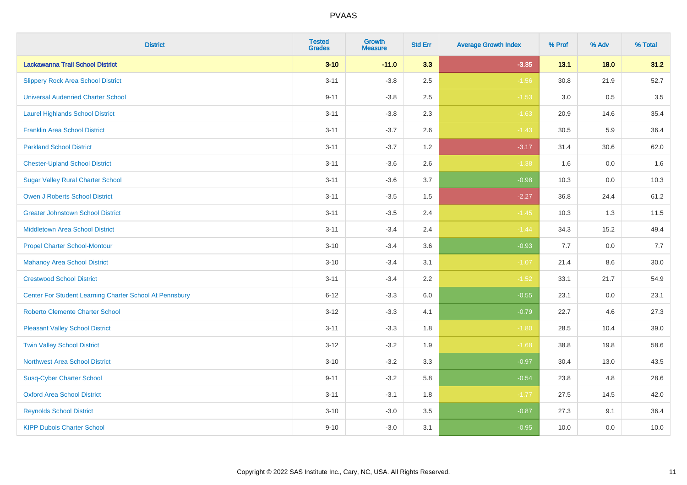| <b>District</b>                                         | <b>Tested</b><br><b>Grades</b> | <b>Growth</b><br><b>Measure</b> | <b>Std Err</b> | <b>Average Growth Index</b> | % Prof | % Adv   | % Total |
|---------------------------------------------------------|--------------------------------|---------------------------------|----------------|-----------------------------|--------|---------|---------|
| Lackawanna Trail School District                        | $3 - 10$                       | $-11.0$                         | 3.3            | $-3.35$                     | 13.1   | $18.0$  | 31.2    |
| <b>Slippery Rock Area School District</b>               | $3 - 11$                       | $-3.8$                          | 2.5            | $-1.56$                     | 30.8   | 21.9    | 52.7    |
| <b>Universal Audenried Charter School</b>               | $9 - 11$                       | $-3.8$                          | 2.5            | $-1.53$                     | 3.0    | 0.5     | 3.5     |
| <b>Laurel Highlands School District</b>                 | $3 - 11$                       | $-3.8$                          | 2.3            | $-1.63$                     | 20.9   | 14.6    | 35.4    |
| <b>Franklin Area School District</b>                    | $3 - 11$                       | $-3.7$                          | 2.6            | $-1.43$                     | 30.5   | 5.9     | 36.4    |
| <b>Parkland School District</b>                         | $3 - 11$                       | $-3.7$                          | 1.2            | $-3.17$                     | 31.4   | 30.6    | 62.0    |
| <b>Chester-Upland School District</b>                   | $3 - 11$                       | $-3.6$                          | 2.6            | $-1.38$                     | 1.6    | $0.0\,$ | 1.6     |
| <b>Sugar Valley Rural Charter School</b>                | $3 - 11$                       | $-3.6$                          | 3.7            | $-0.98$                     | 10.3   | 0.0     | 10.3    |
| <b>Owen J Roberts School District</b>                   | $3 - 11$                       | $-3.5$                          | 1.5            | $-2.27$                     | 36.8   | 24.4    | 61.2    |
| <b>Greater Johnstown School District</b>                | $3 - 11$                       | $-3.5$                          | 2.4            | $-1.45$                     | 10.3   | 1.3     | 11.5    |
| <b>Middletown Area School District</b>                  | $3 - 11$                       | $-3.4$                          | 2.4            | $-1.44$                     | 34.3   | 15.2    | 49.4    |
| <b>Propel Charter School-Montour</b>                    | $3 - 10$                       | $-3.4$                          | 3.6            | $-0.93$                     | 7.7    | 0.0     | 7.7     |
| <b>Mahanoy Area School District</b>                     | $3 - 10$                       | $-3.4$                          | 3.1            | $-1.07$                     | 21.4   | $8.6\,$ | 30.0    |
| <b>Crestwood School District</b>                        | $3 - 11$                       | $-3.4$                          | 2.2            | $-1.52$                     | 33.1   | 21.7    | 54.9    |
| Center For Student Learning Charter School At Pennsbury | $6 - 12$                       | $-3.3$                          | 6.0            | $-0.55$                     | 23.1   | 0.0     | 23.1    |
| <b>Roberto Clemente Charter School</b>                  | $3 - 12$                       | $-3.3$                          | 4.1            | $-0.79$                     | 22.7   | 4.6     | 27.3    |
| <b>Pleasant Valley School District</b>                  | $3 - 11$                       | $-3.3$                          | 1.8            | $-1.80$                     | 28.5   | 10.4    | 39.0    |
| <b>Twin Valley School District</b>                      | $3 - 12$                       | $-3.2$                          | 1.9            | $-1.68$                     | 38.8   | 19.8    | 58.6    |
| <b>Northwest Area School District</b>                   | $3 - 10$                       | $-3.2$                          | 3.3            | $-0.97$                     | 30.4   | 13.0    | 43.5    |
| <b>Susq-Cyber Charter School</b>                        | $9 - 11$                       | $-3.2$                          | 5.8            | $-0.54$                     | 23.8   | 4.8     | 28.6    |
| <b>Oxford Area School District</b>                      | $3 - 11$                       | $-3.1$                          | 1.8            | $-1.77$                     | 27.5   | 14.5    | 42.0    |
| <b>Reynolds School District</b>                         | $3 - 10$                       | $-3.0$                          | 3.5            | $-0.87$                     | 27.3   | 9.1     | 36.4    |
| <b>KIPP Dubois Charter School</b>                       | $9 - 10$                       | $-3.0$                          | 3.1            | $-0.95$                     | 10.0   | 0.0     | 10.0    |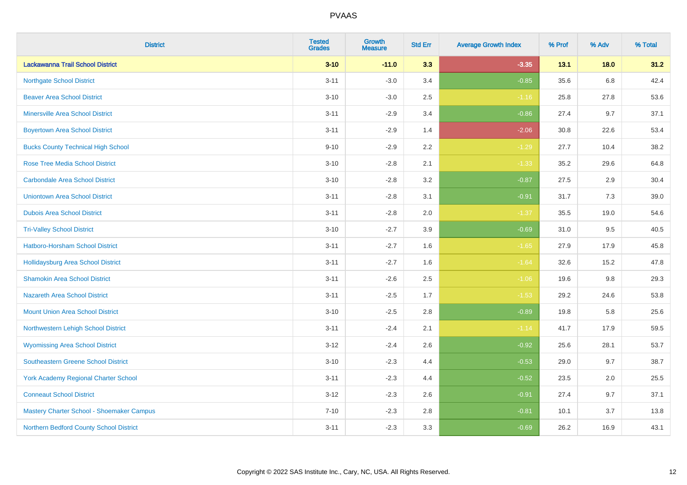| <b>District</b>                             | <b>Tested</b><br><b>Grades</b> | <b>Growth</b><br><b>Measure</b> | <b>Std Err</b> | <b>Average Growth Index</b> | % Prof | % Adv   | % Total |
|---------------------------------------------|--------------------------------|---------------------------------|----------------|-----------------------------|--------|---------|---------|
| Lackawanna Trail School District            | $3 - 10$                       | $-11.0$                         | 3.3            | $-3.35$                     | 13.1   | 18.0    | 31.2    |
| <b>Northgate School District</b>            | $3 - 11$                       | $-3.0$                          | 3.4            | $-0.85$                     | 35.6   | $6.8\,$ | 42.4    |
| <b>Beaver Area School District</b>          | $3 - 10$                       | $-3.0$                          | 2.5            | $-1.16$                     | 25.8   | 27.8    | 53.6    |
| <b>Minersville Area School District</b>     | $3 - 11$                       | $-2.9$                          | 3.4            | $-0.86$                     | 27.4   | 9.7     | 37.1    |
| <b>Boyertown Area School District</b>       | $3 - 11$                       | $-2.9$                          | 1.4            | $-2.06$                     | 30.8   | 22.6    | 53.4    |
| <b>Bucks County Technical High School</b>   | $9 - 10$                       | $-2.9$                          | 2.2            | $-1.29$                     | 27.7   | 10.4    | 38.2    |
| <b>Rose Tree Media School District</b>      | $3 - 10$                       | $-2.8$                          | 2.1            | $-1.33$                     | 35.2   | 29.6    | 64.8    |
| <b>Carbondale Area School District</b>      | $3 - 10$                       | $-2.8$                          | 3.2            | $-0.87$                     | 27.5   | 2.9     | 30.4    |
| <b>Uniontown Area School District</b>       | $3 - 11$                       | $-2.8$                          | 3.1            | $-0.91$                     | 31.7   | 7.3     | 39.0    |
| <b>Dubois Area School District</b>          | $3 - 11$                       | $-2.8$                          | 2.0            | $-1.37$                     | 35.5   | 19.0    | 54.6    |
| <b>Tri-Valley School District</b>           | $3 - 10$                       | $-2.7$                          | 3.9            | $-0.69$                     | 31.0   | 9.5     | 40.5    |
| Hatboro-Horsham School District             | $3 - 11$                       | $-2.7$                          | 1.6            | $-1.65$                     | 27.9   | 17.9    | 45.8    |
| <b>Hollidaysburg Area School District</b>   | $3 - 11$                       | $-2.7$                          | 1.6            | $-1.64$                     | 32.6   | 15.2    | 47.8    |
| <b>Shamokin Area School District</b>        | $3 - 11$                       | $-2.6$                          | 2.5            | $-1.06$                     | 19.6   | 9.8     | 29.3    |
| <b>Nazareth Area School District</b>        | $3 - 11$                       | $-2.5$                          | 1.7            | $-1.53$                     | 29.2   | 24.6    | 53.8    |
| <b>Mount Union Area School District</b>     | $3 - 10$                       | $-2.5$                          | 2.8            | $-0.89$                     | 19.8   | 5.8     | 25.6    |
| Northwestern Lehigh School District         | $3 - 11$                       | $-2.4$                          | 2.1            | $-1.14$                     | 41.7   | 17.9    | 59.5    |
| <b>Wyomissing Area School District</b>      | $3 - 12$                       | $-2.4$                          | 2.6            | $-0.92$                     | 25.6   | 28.1    | 53.7    |
| <b>Southeastern Greene School District</b>  | $3 - 10$                       | $-2.3$                          | 4.4            | $-0.53$                     | 29.0   | 9.7     | 38.7    |
| <b>York Academy Regional Charter School</b> | $3 - 11$                       | $-2.3$                          | 4.4            | $-0.52$                     | 23.5   | 2.0     | 25.5    |
| <b>Conneaut School District</b>             | $3 - 12$                       | $-2.3$                          | 2.6            | $-0.91$                     | 27.4   | 9.7     | 37.1    |
| Mastery Charter School - Shoemaker Campus   | $7 - 10$                       | $-2.3$                          | 2.8            | $-0.81$                     | 10.1   | 3.7     | 13.8    |
| Northern Bedford County School District     | $3 - 11$                       | $-2.3$                          | 3.3            | $-0.69$                     | 26.2   | 16.9    | 43.1    |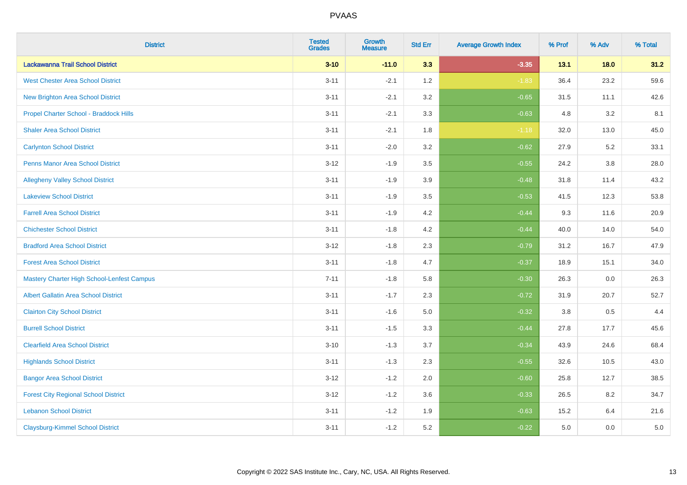| <b>District</b>                                   | <b>Tested</b><br><b>Grades</b> | <b>Growth</b><br><b>Measure</b> | <b>Std Err</b> | <b>Average Growth Index</b> | % Prof | % Adv   | % Total |
|---------------------------------------------------|--------------------------------|---------------------------------|----------------|-----------------------------|--------|---------|---------|
| Lackawanna Trail School District                  | $3 - 10$                       | $-11.0$                         | 3.3            | $-3.35$                     | 13.1   | $18.0$  | 31.2    |
| <b>West Chester Area School District</b>          | $3 - 11$                       | $-2.1$                          | 1.2            | $-1.83$                     | 36.4   | 23.2    | 59.6    |
| <b>New Brighton Area School District</b>          | $3 - 11$                       | $-2.1$                          | 3.2            | $-0.65$                     | 31.5   | 11.1    | 42.6    |
| Propel Charter School - Braddock Hills            | $3 - 11$                       | $-2.1$                          | 3.3            | $-0.63$                     | 4.8    | $3.2\,$ | 8.1     |
| <b>Shaler Area School District</b>                | $3 - 11$                       | $-2.1$                          | 1.8            | $-1.18$                     | 32.0   | 13.0    | 45.0    |
| <b>Carlynton School District</b>                  | $3 - 11$                       | $-2.0$                          | 3.2            | $-0.62$                     | 27.9   | 5.2     | 33.1    |
| Penns Manor Area School District                  | $3 - 12$                       | $-1.9$                          | 3.5            | $-0.55$                     | 24.2   | $3.8\,$ | 28.0    |
| <b>Allegheny Valley School District</b>           | $3 - 11$                       | $-1.9$                          | 3.9            | $-0.48$                     | 31.8   | 11.4    | 43.2    |
| <b>Lakeview School District</b>                   | $3 - 11$                       | $-1.9$                          | 3.5            | $-0.53$                     | 41.5   | 12.3    | 53.8    |
| <b>Farrell Area School District</b>               | $3 - 11$                       | $-1.9$                          | 4.2            | $-0.44$                     | 9.3    | 11.6    | 20.9    |
| <b>Chichester School District</b>                 | $3 - 11$                       | $-1.8$                          | 4.2            | $-0.44$                     | 40.0   | 14.0    | 54.0    |
| <b>Bradford Area School District</b>              | $3 - 12$                       | $-1.8$                          | 2.3            | $-0.79$                     | 31.2   | 16.7    | 47.9    |
| <b>Forest Area School District</b>                | $3 - 11$                       | $-1.8$                          | 4.7            | $-0.37$                     | 18.9   | 15.1    | 34.0    |
| <b>Mastery Charter High School-Lenfest Campus</b> | $7 - 11$                       | $-1.8$                          | 5.8            | $-0.30$                     | 26.3   | 0.0     | 26.3    |
| <b>Albert Gallatin Area School District</b>       | $3 - 11$                       | $-1.7$                          | 2.3            | $-0.72$                     | 31.9   | 20.7    | 52.7    |
| <b>Clairton City School District</b>              | $3 - 11$                       | $-1.6$                          | 5.0            | $-0.32$                     | 3.8    | 0.5     | 4.4     |
| <b>Burrell School District</b>                    | $3 - 11$                       | $-1.5$                          | 3.3            | $-0.44$                     | 27.8   | 17.7    | 45.6    |
| <b>Clearfield Area School District</b>            | $3 - 10$                       | $-1.3$                          | 3.7            | $-0.34$                     | 43.9   | 24.6    | 68.4    |
| <b>Highlands School District</b>                  | $3 - 11$                       | $-1.3$                          | 2.3            | $-0.55$                     | 32.6   | 10.5    | 43.0    |
| <b>Bangor Area School District</b>                | $3 - 12$                       | $-1.2$                          | 2.0            | $-0.60$                     | 25.8   | 12.7    | 38.5    |
| <b>Forest City Regional School District</b>       | $3 - 12$                       | $-1.2$                          | 3.6            | $-0.33$                     | 26.5   | 8.2     | 34.7    |
| <b>Lebanon School District</b>                    | $3 - 11$                       | $-1.2$                          | 1.9            | $-0.63$                     | 15.2   | 6.4     | 21.6    |
| <b>Claysburg-Kimmel School District</b>           | $3 - 11$                       | $-1.2$                          | 5.2            | $-0.22$                     | 5.0    | 0.0     | $5.0\,$ |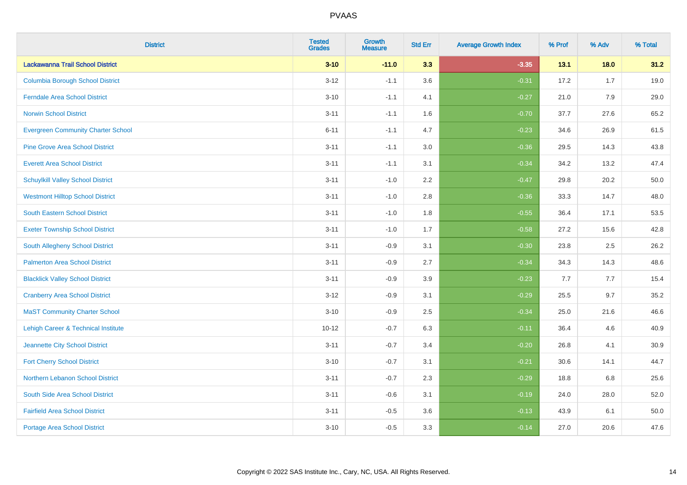| <b>District</b>                                | <b>Tested</b><br><b>Grades</b> | Growth<br><b>Measure</b> | <b>Std Err</b> | <b>Average Growth Index</b> | % Prof | % Adv  | % Total |
|------------------------------------------------|--------------------------------|--------------------------|----------------|-----------------------------|--------|--------|---------|
| Lackawanna Trail School District               | $3 - 10$                       | $-11.0$                  | 3.3            | $-3.35$                     | 13.1   | $18.0$ | 31.2    |
| <b>Columbia Borough School District</b>        | $3 - 12$                       | $-1.1$                   | 3.6            | $-0.31$                     | 17.2   | 1.7    | 19.0    |
| <b>Ferndale Area School District</b>           | $3 - 10$                       | $-1.1$                   | 4.1            | $-0.27$                     | 21.0   | 7.9    | 29.0    |
| <b>Norwin School District</b>                  | $3 - 11$                       | $-1.1$                   | 1.6            | $-0.70$                     | 37.7   | 27.6   | 65.2    |
| <b>Evergreen Community Charter School</b>      | $6 - 11$                       | $-1.1$                   | 4.7            | $-0.23$                     | 34.6   | 26.9   | 61.5    |
| <b>Pine Grove Area School District</b>         | $3 - 11$                       | $-1.1$                   | 3.0            | $-0.36$                     | 29.5   | 14.3   | 43.8    |
| <b>Everett Area School District</b>            | $3 - 11$                       | $-1.1$                   | 3.1            | $-0.34$                     | 34.2   | 13.2   | 47.4    |
| <b>Schuylkill Valley School District</b>       | $3 - 11$                       | $-1.0$                   | 2.2            | $-0.47$                     | 29.8   | 20.2   | 50.0    |
| <b>Westmont Hilltop School District</b>        | $3 - 11$                       | $-1.0$                   | 2.8            | $-0.36$                     | 33.3   | 14.7   | 48.0    |
| <b>South Eastern School District</b>           | $3 - 11$                       | $-1.0$                   | 1.8            | $-0.55$                     | 36.4   | 17.1   | 53.5    |
| <b>Exeter Township School District</b>         | $3 - 11$                       | $-1.0$                   | 1.7            | $-0.58$                     | 27.2   | 15.6   | 42.8    |
| South Allegheny School District                | $3 - 11$                       | $-0.9$                   | 3.1            | $-0.30$                     | 23.8   | 2.5    | 26.2    |
| <b>Palmerton Area School District</b>          | $3 - 11$                       | $-0.9$                   | 2.7            | $-0.34$                     | 34.3   | 14.3   | 48.6    |
| <b>Blacklick Valley School District</b>        | $3 - 11$                       | $-0.9$                   | 3.9            | $-0.23$                     | 7.7    | 7.7    | 15.4    |
| <b>Cranberry Area School District</b>          | $3 - 12$                       | $-0.9$                   | 3.1            | $-0.29$                     | 25.5   | 9.7    | 35.2    |
| <b>MaST Community Charter School</b>           | $3 - 10$                       | $-0.9$                   | 2.5            | $-0.34$                     | 25.0   | 21.6   | 46.6    |
| <b>Lehigh Career &amp; Technical Institute</b> | $10 - 12$                      | $-0.7$                   | 6.3            | $-0.11$                     | 36.4   | 4.6    | 40.9    |
| Jeannette City School District                 | $3 - 11$                       | $-0.7$                   | 3.4            | $-0.20$                     | 26.8   | 4.1    | 30.9    |
| <b>Fort Cherry School District</b>             | $3 - 10$                       | $-0.7$                   | 3.1            | $-0.21$                     | 30.6   | 14.1   | 44.7    |
| Northern Lebanon School District               | $3 - 11$                       | $-0.7$                   | 2.3            | $-0.29$                     | 18.8   | 6.8    | 25.6    |
| South Side Area School District                | $3 - 11$                       | $-0.6$                   | 3.1            | $-0.19$                     | 24.0   | 28.0   | 52.0    |
| <b>Fairfield Area School District</b>          | $3 - 11$                       | $-0.5$                   | 3.6            | $-0.13$                     | 43.9   | 6.1    | 50.0    |
| <b>Portage Area School District</b>            | $3 - 10$                       | $-0.5$                   | 3.3            | $-0.14$                     | 27.0   | 20.6   | 47.6    |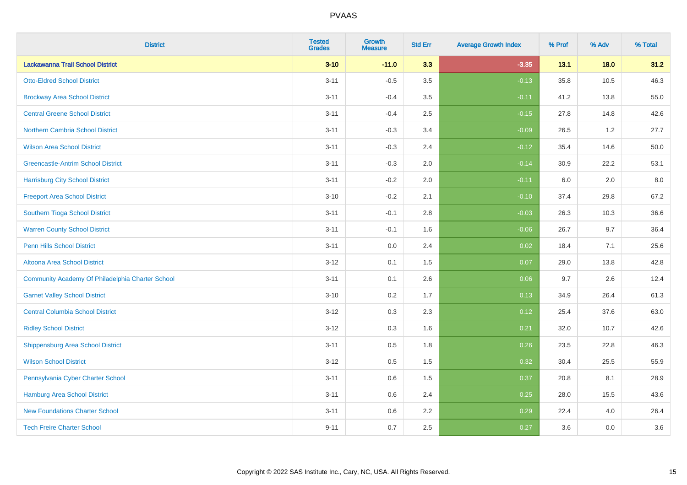| <b>District</b>                                  | <b>Tested</b><br><b>Grades</b> | <b>Growth</b><br><b>Measure</b> | <b>Std Err</b> | <b>Average Growth Index</b> | % Prof | % Adv | % Total |
|--------------------------------------------------|--------------------------------|---------------------------------|----------------|-----------------------------|--------|-------|---------|
| Lackawanna Trail School District                 | $3 - 10$                       | $-11.0$                         | 3.3            | $-3.35$                     | 13.1   | 18.0  | 31.2    |
| <b>Otto-Eldred School District</b>               | $3 - 11$                       | $-0.5$                          | 3.5            | $-0.13$                     | 35.8   | 10.5  | 46.3    |
| <b>Brockway Area School District</b>             | $3 - 11$                       | $-0.4$                          | 3.5            | $-0.11$                     | 41.2   | 13.8  | 55.0    |
| <b>Central Greene School District</b>            | $3 - 11$                       | $-0.4$                          | 2.5            | $-0.15$                     | 27.8   | 14.8  | 42.6    |
| <b>Northern Cambria School District</b>          | $3 - 11$                       | $-0.3$                          | 3.4            | $-0.09$                     | 26.5   | 1.2   | 27.7    |
| <b>Wilson Area School District</b>               | $3 - 11$                       | $-0.3$                          | 2.4            | $-0.12$                     | 35.4   | 14.6  | 50.0    |
| <b>Greencastle-Antrim School District</b>        | $3 - 11$                       | $-0.3$                          | 2.0            | $-0.14$                     | 30.9   | 22.2  | 53.1    |
| <b>Harrisburg City School District</b>           | $3 - 11$                       | $-0.2$                          | 2.0            | $-0.11$                     | 6.0    | 2.0   | 8.0     |
| <b>Freeport Area School District</b>             | $3 - 10$                       | $-0.2$                          | 2.1            | $-0.10$                     | 37.4   | 29.8  | 67.2    |
| Southern Tioga School District                   | $3 - 11$                       | $-0.1$                          | 2.8            | $-0.03$                     | 26.3   | 10.3  | 36.6    |
| <b>Warren County School District</b>             | $3 - 11$                       | $-0.1$                          | 1.6            | $-0.06$                     | 26.7   | 9.7   | 36.4    |
| <b>Penn Hills School District</b>                | $3 - 11$                       | 0.0                             | 2.4            | 0.02                        | 18.4   | 7.1   | 25.6    |
| Altoona Area School District                     | $3 - 12$                       | 0.1                             | 1.5            | 0.07                        | 29.0   | 13.8  | 42.8    |
| Community Academy Of Philadelphia Charter School | $3 - 11$                       | 0.1                             | 2.6            | 0.06                        | 9.7    | 2.6   | 12.4    |
| <b>Garnet Valley School District</b>             | $3 - 10$                       | 0.2                             | 1.7            | 0.13                        | 34.9   | 26.4  | 61.3    |
| <b>Central Columbia School District</b>          | $3 - 12$                       | 0.3                             | 2.3            | 0.12                        | 25.4   | 37.6  | 63.0    |
| <b>Ridley School District</b>                    | $3 - 12$                       | 0.3                             | 1.6            | 0.21                        | 32.0   | 10.7  | 42.6    |
| <b>Shippensburg Area School District</b>         | $3 - 11$                       | 0.5                             | 1.8            | 0.26                        | 23.5   | 22.8  | 46.3    |
| <b>Wilson School District</b>                    | $3 - 12$                       | 0.5                             | 1.5            | 0.32                        | 30.4   | 25.5  | 55.9    |
| Pennsylvania Cyber Charter School                | $3 - 11$                       | 0.6                             | 1.5            | 0.37                        | 20.8   | 8.1   | 28.9    |
| <b>Hamburg Area School District</b>              | $3 - 11$                       | 0.6                             | 2.4            | 0.25                        | 28.0   | 15.5  | 43.6    |
| <b>New Foundations Charter School</b>            | $3 - 11$                       | 0.6                             | 2.2            | 0.29                        | 22.4   | 4.0   | 26.4    |
| <b>Tech Freire Charter School</b>                | $9 - 11$                       | 0.7                             | 2.5            | 0.27                        | 3.6    | 0.0   | 3.6     |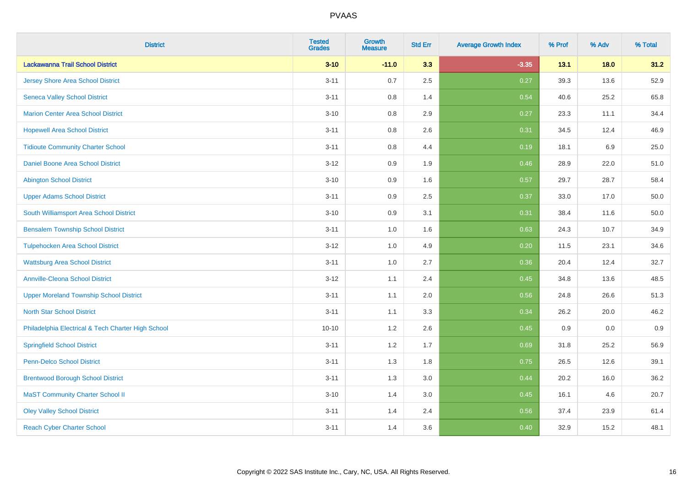| <b>District</b>                                    | <b>Tested</b><br><b>Grades</b> | <b>Growth</b><br><b>Measure</b> | <b>Std Err</b> | <b>Average Growth Index</b> | % Prof | % Adv   | % Total |
|----------------------------------------------------|--------------------------------|---------------------------------|----------------|-----------------------------|--------|---------|---------|
| Lackawanna Trail School District                   | $3 - 10$                       | $-11.0$                         | 3.3            | $-3.35$                     | 13.1   | 18.0    | 31.2    |
| <b>Jersey Shore Area School District</b>           | $3 - 11$                       | 0.7                             | 2.5            | 0.27                        | 39.3   | 13.6    | 52.9    |
| <b>Seneca Valley School District</b>               | $3 - 11$                       | 0.8                             | 1.4            | 0.54                        | 40.6   | 25.2    | 65.8    |
| <b>Marion Center Area School District</b>          | $3 - 10$                       | 0.8                             | 2.9            | 0.27                        | 23.3   | 11.1    | 34.4    |
| <b>Hopewell Area School District</b>               | $3 - 11$                       | 0.8                             | 2.6            | 0.31                        | 34.5   | 12.4    | 46.9    |
| <b>Tidioute Community Charter School</b>           | $3 - 11$                       | 0.8                             | 4.4            | 0.19                        | 18.1   | $6.9\,$ | 25.0    |
| Daniel Boone Area School District                  | $3 - 12$                       | 0.9                             | 1.9            | 0.46                        | 28.9   | 22.0    | 51.0    |
| <b>Abington School District</b>                    | $3 - 10$                       | 0.9                             | 1.6            | 0.57                        | 29.7   | 28.7    | 58.4    |
| <b>Upper Adams School District</b>                 | $3 - 11$                       | 0.9                             | 2.5            | 0.37                        | 33.0   | 17.0    | 50.0    |
| South Williamsport Area School District            | $3 - 10$                       | 0.9                             | 3.1            | 0.31                        | 38.4   | 11.6    | 50.0    |
| <b>Bensalem Township School District</b>           | $3 - 11$                       | 1.0                             | 1.6            | 0.63                        | 24.3   | 10.7    | 34.9    |
| <b>Tulpehocken Area School District</b>            | $3 - 12$                       | 1.0                             | 4.9            | 0.20                        | 11.5   | 23.1    | 34.6    |
| <b>Wattsburg Area School District</b>              | $3 - 11$                       | $1.0\,$                         | 2.7            | 0.36                        | 20.4   | 12.4    | 32.7    |
| <b>Annville-Cleona School District</b>             | $3 - 12$                       | 1.1                             | 2.4            | 0.45                        | 34.8   | 13.6    | 48.5    |
| <b>Upper Moreland Township School District</b>     | $3 - 11$                       | 1.1                             | 2.0            | 0.56                        | 24.8   | 26.6    | 51.3    |
| <b>North Star School District</b>                  | $3 - 11$                       | 1.1                             | 3.3            | 0.34                        | 26.2   | 20.0    | 46.2    |
| Philadelphia Electrical & Tech Charter High School | $10 - 10$                      | 1.2                             | 2.6            | 0.45                        | 0.9    | 0.0     | 0.9     |
| <b>Springfield School District</b>                 | $3 - 11$                       | 1.2                             | 1.7            | 0.69                        | 31.8   | 25.2    | 56.9    |
| <b>Penn-Delco School District</b>                  | $3 - 11$                       | 1.3                             | 1.8            | 0.75                        | 26.5   | 12.6    | 39.1    |
| <b>Brentwood Borough School District</b>           | $3 - 11$                       | 1.3                             | 3.0            | 0.44                        | 20.2   | 16.0    | 36.2    |
| <b>MaST Community Charter School II</b>            | $3 - 10$                       | 1.4                             | 3.0            | 0.45                        | 16.1   | 4.6     | 20.7    |
| <b>Oley Valley School District</b>                 | $3 - 11$                       | 1.4                             | 2.4            | 0.56                        | 37.4   | 23.9    | 61.4    |
| <b>Reach Cyber Charter School</b>                  | $3 - 11$                       | 1.4                             | 3.6            | 0.40                        | 32.9   | 15.2    | 48.1    |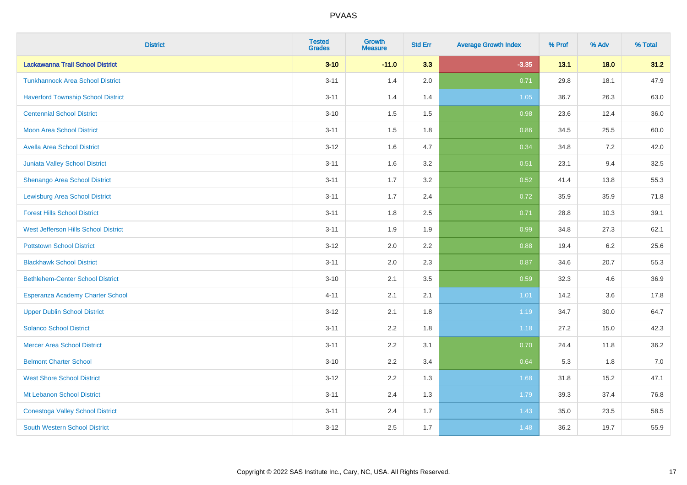| <b>District</b>                           | <b>Tested</b><br><b>Grades</b> | <b>Growth</b><br><b>Measure</b> | <b>Std Err</b> | <b>Average Growth Index</b> | % Prof | % Adv  | % Total |
|-------------------------------------------|--------------------------------|---------------------------------|----------------|-----------------------------|--------|--------|---------|
| Lackawanna Trail School District          | $3 - 10$                       | $-11.0$                         | 3.3            | $-3.35$                     | 13.1   | $18.0$ | 31.2    |
| <b>Tunkhannock Area School District</b>   | $3 - 11$                       | 1.4                             | 2.0            | 0.71                        | 29.8   | 18.1   | 47.9    |
| <b>Haverford Township School District</b> | $3 - 11$                       | 1.4                             | 1.4            | 1.05                        | 36.7   | 26.3   | 63.0    |
| <b>Centennial School District</b>         | $3 - 10$                       | 1.5                             | 1.5            | 0.98                        | 23.6   | 12.4   | 36.0    |
| <b>Moon Area School District</b>          | $3 - 11$                       | 1.5                             | 1.8            | 0.86                        | 34.5   | 25.5   | 60.0    |
| <b>Avella Area School District</b>        | $3 - 12$                       | 1.6                             | 4.7            | 0.34                        | 34.8   | 7.2    | 42.0    |
| Juniata Valley School District            | $3 - 11$                       | 1.6                             | 3.2            | 0.51                        | 23.1   | 9.4    | 32.5    |
| <b>Shenango Area School District</b>      | $3 - 11$                       | 1.7                             | 3.2            | 0.52                        | 41.4   | 13.8   | 55.3    |
| <b>Lewisburg Area School District</b>     | $3 - 11$                       | 1.7                             | 2.4            | 0.72                        | 35.9   | 35.9   | 71.8    |
| <b>Forest Hills School District</b>       | $3 - 11$                       | 1.8                             | 2.5            | 0.71                        | 28.8   | 10.3   | 39.1    |
| West Jefferson Hills School District      | $3 - 11$                       | 1.9                             | 1.9            | 0.99                        | 34.8   | 27.3   | 62.1    |
| <b>Pottstown School District</b>          | $3 - 12$                       | 2.0                             | 2.2            | 0.88                        | 19.4   | 6.2    | 25.6    |
| <b>Blackhawk School District</b>          | $3 - 11$                       | 2.0                             | 2.3            | 0.87                        | 34.6   | 20.7   | 55.3    |
| <b>Bethlehem-Center School District</b>   | $3 - 10$                       | 2.1                             | 3.5            | 0.59                        | 32.3   | 4.6    | 36.9    |
| Esperanza Academy Charter School          | $4 - 11$                       | 2.1                             | 2.1            | 1.01                        | 14.2   | 3.6    | 17.8    |
| <b>Upper Dublin School District</b>       | $3 - 12$                       | 2.1                             | 1.8            | 1.19                        | 34.7   | 30.0   | 64.7    |
| <b>Solanco School District</b>            | $3 - 11$                       | 2.2                             | 1.8            | 1.18                        | 27.2   | 15.0   | 42.3    |
| <b>Mercer Area School District</b>        | $3 - 11$                       | 2.2                             | 3.1            | 0.70                        | 24.4   | 11.8   | 36.2    |
| <b>Belmont Charter School</b>             | $3 - 10$                       | 2.2                             | 3.4            | 0.64                        | 5.3    | 1.8    | $7.0$   |
| <b>West Shore School District</b>         | $3 - 12$                       | 2.2                             | 1.3            | 1.68                        | 31.8   | 15.2   | 47.1    |
| Mt Lebanon School District                | $3 - 11$                       | 2.4                             | 1.3            | 1.79                        | 39.3   | 37.4   | 76.8    |
| <b>Conestoga Valley School District</b>   | $3 - 11$                       | 2.4                             | 1.7            | 1.43                        | 35.0   | 23.5   | 58.5    |
| <b>South Western School District</b>      | $3 - 12$                       | 2.5                             | 1.7            | 1.48                        | 36.2   | 19.7   | 55.9    |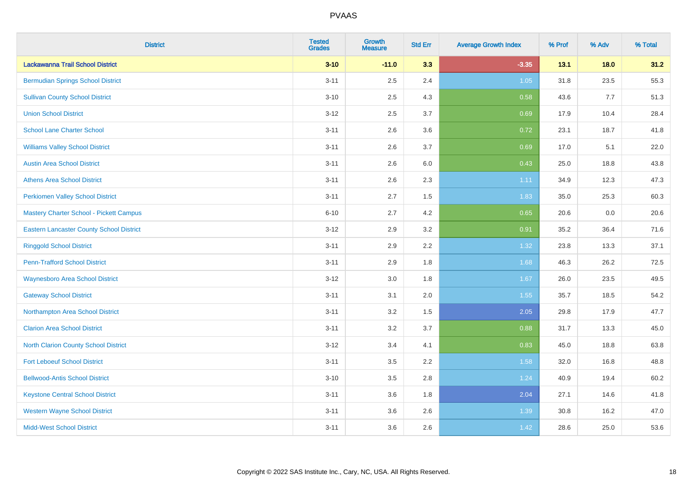| <b>District</b>                                 | <b>Tested</b><br><b>Grades</b> | <b>Growth</b><br><b>Measure</b> | <b>Std Err</b> | <b>Average Growth Index</b> | % Prof | % Adv | % Total |
|-------------------------------------------------|--------------------------------|---------------------------------|----------------|-----------------------------|--------|-------|---------|
| Lackawanna Trail School District                | $3 - 10$                       | $-11.0$                         | 3.3            | $-3.35$                     | 13.1   | 18.0  | 31.2    |
| <b>Bermudian Springs School District</b>        | $3 - 11$                       | 2.5                             | 2.4            | 1.05                        | 31.8   | 23.5  | 55.3    |
| <b>Sullivan County School District</b>          | $3 - 10$                       | 2.5                             | 4.3            | 0.58                        | 43.6   | 7.7   | 51.3    |
| <b>Union School District</b>                    | $3 - 12$                       | 2.5                             | 3.7            | 0.69                        | 17.9   | 10.4  | 28.4    |
| <b>School Lane Charter School</b>               | $3 - 11$                       | 2.6                             | 3.6            | 0.72                        | 23.1   | 18.7  | 41.8    |
| <b>Williams Valley School District</b>          | $3 - 11$                       | 2.6                             | 3.7            | 0.69                        | 17.0   | 5.1   | 22.0    |
| <b>Austin Area School District</b>              | $3 - 11$                       | 2.6                             | 6.0            | 0.43                        | 25.0   | 18.8  | 43.8    |
| <b>Athens Area School District</b>              | $3 - 11$                       | 2.6                             | 2.3            | 1.11                        | 34.9   | 12.3  | 47.3    |
| <b>Perkiomen Valley School District</b>         | $3 - 11$                       | 2.7                             | 1.5            | 1.83                        | 35.0   | 25.3  | 60.3    |
| <b>Mastery Charter School - Pickett Campus</b>  | $6 - 10$                       | 2.7                             | 4.2            | 0.65                        | 20.6   | 0.0   | 20.6    |
| <b>Eastern Lancaster County School District</b> | $3 - 12$                       | 2.9                             | 3.2            | 0.91                        | 35.2   | 36.4  | 71.6    |
| <b>Ringgold School District</b>                 | $3 - 11$                       | 2.9                             | 2.2            | 1.32                        | 23.8   | 13.3  | 37.1    |
| <b>Penn-Trafford School District</b>            | $3 - 11$                       | 2.9                             | 1.8            | 1.68                        | 46.3   | 26.2  | 72.5    |
| <b>Waynesboro Area School District</b>          | $3 - 12$                       | 3.0                             | 1.8            | 1.67                        | 26.0   | 23.5  | 49.5    |
| <b>Gateway School District</b>                  | $3 - 11$                       | 3.1                             | 2.0            | 1.55                        | 35.7   | 18.5  | 54.2    |
| Northampton Area School District                | $3 - 11$                       | 3.2                             | 1.5            | 2.05                        | 29.8   | 17.9  | 47.7    |
| <b>Clarion Area School District</b>             | $3 - 11$                       | 3.2                             | 3.7            | 0.88                        | 31.7   | 13.3  | 45.0    |
| <b>North Clarion County School District</b>     | $3 - 12$                       | 3.4                             | 4.1            | 0.83                        | 45.0   | 18.8  | 63.8    |
| <b>Fort Leboeuf School District</b>             | $3 - 11$                       | 3.5                             | 2.2            | 1.58                        | 32.0   | 16.8  | 48.8    |
| <b>Bellwood-Antis School District</b>           | $3 - 10$                       | 3.5                             | 2.8            | 1.24                        | 40.9   | 19.4  | 60.2    |
| <b>Keystone Central School District</b>         | $3 - 11$                       | 3.6                             | 1.8            | 2.04                        | 27.1   | 14.6  | 41.8    |
| <b>Western Wayne School District</b>            | $3 - 11$                       | 3.6                             | 2.6            | 1.39                        | 30.8   | 16.2  | 47.0    |
| <b>Midd-West School District</b>                | $3 - 11$                       | 3.6                             | 2.6            | 1.42                        | 28.6   | 25.0  | 53.6    |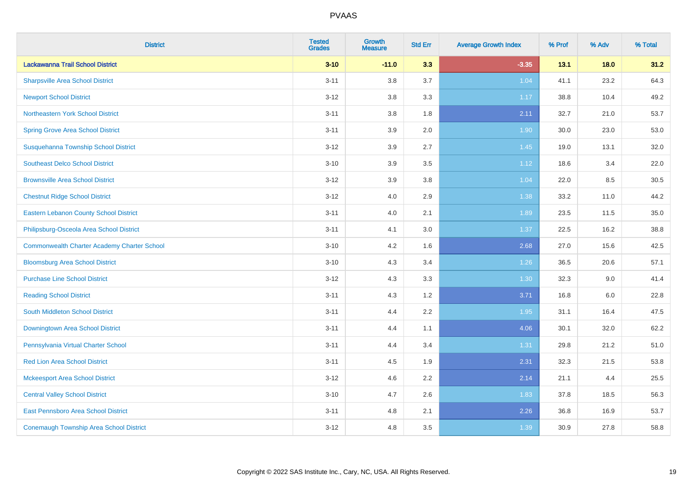| <b>District</b>                                    | <b>Tested</b><br><b>Grades</b> | <b>Growth</b><br><b>Measure</b> | <b>Std Err</b> | <b>Average Growth Index</b> | % Prof | % Adv | % Total |
|----------------------------------------------------|--------------------------------|---------------------------------|----------------|-----------------------------|--------|-------|---------|
| Lackawanna Trail School District                   | $3 - 10$                       | $-11.0$                         | 3.3            | $-3.35$                     | 13.1   | 18.0  | 31.2    |
| <b>Sharpsville Area School District</b>            | $3 - 11$                       | 3.8                             | 3.7            | 1.04                        | 41.1   | 23.2  | 64.3    |
| <b>Newport School District</b>                     | $3 - 12$                       | 3.8                             | 3.3            | 1.17                        | 38.8   | 10.4  | 49.2    |
| Northeastern York School District                  | $3 - 11$                       | 3.8                             | 1.8            | 2.11                        | 32.7   | 21.0  | 53.7    |
| <b>Spring Grove Area School District</b>           | $3 - 11$                       | 3.9                             | 2.0            | 1.90                        | 30.0   | 23.0  | 53.0    |
| Susquehanna Township School District               | $3 - 12$                       | 3.9                             | 2.7            | 1.45                        | 19.0   | 13.1  | 32.0    |
| <b>Southeast Delco School District</b>             | $3 - 10$                       | 3.9                             | 3.5            | 1.12                        | 18.6   | 3.4   | 22.0    |
| <b>Brownsville Area School District</b>            | $3 - 12$                       | 3.9                             | 3.8            | 1.04                        | 22.0   | 8.5   | 30.5    |
| <b>Chestnut Ridge School District</b>              | $3 - 12$                       | 4.0                             | 2.9            | 1.38                        | 33.2   | 11.0  | 44.2    |
| <b>Eastern Lebanon County School District</b>      | $3 - 11$                       | 4.0                             | 2.1            | 1.89                        | 23.5   | 11.5  | 35.0    |
| Philipsburg-Osceola Area School District           | $3 - 11$                       | 4.1                             | 3.0            | 1.37                        | 22.5   | 16.2  | 38.8    |
| <b>Commonwealth Charter Academy Charter School</b> | $3 - 10$                       | 4.2                             | 1.6            | 2.68                        | 27.0   | 15.6  | 42.5    |
| <b>Bloomsburg Area School District</b>             | $3 - 10$                       | 4.3                             | 3.4            | 1.26                        | 36.5   | 20.6  | 57.1    |
| <b>Purchase Line School District</b>               | $3 - 12$                       | 4.3                             | 3.3            | 1.30                        | 32.3   | 9.0   | 41.4    |
| <b>Reading School District</b>                     | $3 - 11$                       | 4.3                             | 1.2            | 3.71                        | 16.8   | 6.0   | 22.8    |
| South Middleton School District                    | $3 - 11$                       | 4.4                             | 2.2            | 1.95                        | 31.1   | 16.4  | 47.5    |
| <b>Downingtown Area School District</b>            | $3 - 11$                       | 4.4                             | 1.1            | 4.06                        | 30.1   | 32.0  | 62.2    |
| Pennsylvania Virtual Charter School                | $3 - 11$                       | 4.4                             | 3.4            | 1.31                        | 29.8   | 21.2  | 51.0    |
| <b>Red Lion Area School District</b>               | $3 - 11$                       | 4.5                             | 1.9            | 2.31                        | 32.3   | 21.5  | 53.8    |
| <b>Mckeesport Area School District</b>             | $3 - 12$                       | 4.6                             | 2.2            | 2.14                        | 21.1   | 4.4   | 25.5    |
| <b>Central Valley School District</b>              | $3 - 10$                       | 4.7                             | 2.6            | 1.83                        | 37.8   | 18.5  | 56.3    |
| <b>East Pennsboro Area School District</b>         | $3 - 11$                       | 4.8                             | 2.1            | 2.26                        | 36.8   | 16.9  | 53.7    |
| <b>Conemaugh Township Area School District</b>     | $3 - 12$                       | 4.8                             | 3.5            | 1.39                        | 30.9   | 27.8  | 58.8    |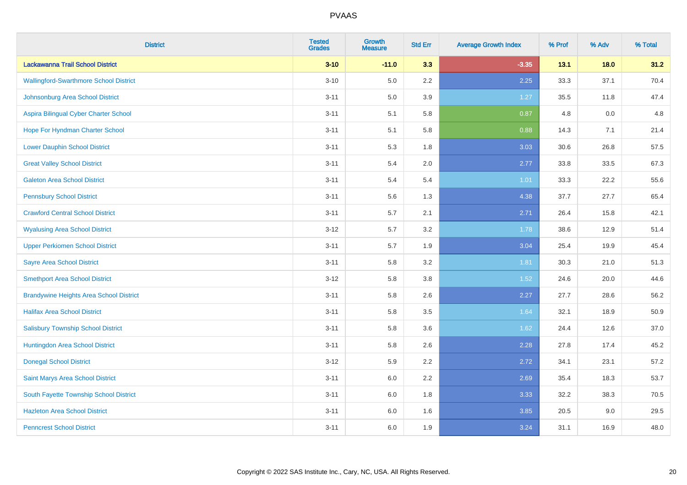| <b>District</b>                                | <b>Tested</b><br><b>Grades</b> | <b>Growth</b><br><b>Measure</b> | <b>Std Err</b> | <b>Average Growth Index</b> | % Prof | % Adv | % Total |
|------------------------------------------------|--------------------------------|---------------------------------|----------------|-----------------------------|--------|-------|---------|
| Lackawanna Trail School District               | $3 - 10$                       | $-11.0$                         | 3.3            | $-3.35$                     | 13.1   | 18.0  | 31.2    |
| <b>Wallingford-Swarthmore School District</b>  | $3 - 10$                       | 5.0                             | $2.2\,$        | 2.25                        | 33.3   | 37.1  | 70.4    |
| Johnsonburg Area School District               | $3 - 11$                       | 5.0                             | 3.9            | 1.27                        | 35.5   | 11.8  | 47.4    |
| Aspira Bilingual Cyber Charter School          | $3 - 11$                       | 5.1                             | 5.8            | 0.87                        | 4.8    | 0.0   | 4.8     |
| Hope For Hyndman Charter School                | $3 - 11$                       | 5.1                             | 5.8            | 0.88                        | 14.3   | 7.1   | 21.4    |
| <b>Lower Dauphin School District</b>           | $3 - 11$                       | 5.3                             | 1.8            | 3.03                        | 30.6   | 26.8  | 57.5    |
| <b>Great Valley School District</b>            | $3 - 11$                       | 5.4                             | 2.0            | 2.77                        | 33.8   | 33.5  | 67.3    |
| <b>Galeton Area School District</b>            | $3 - 11$                       | 5.4                             | 5.4            | 1.01                        | 33.3   | 22.2  | 55.6    |
| <b>Pennsbury School District</b>               | $3 - 11$                       | 5.6                             | 1.3            | 4.38                        | 37.7   | 27.7  | 65.4    |
| <b>Crawford Central School District</b>        | $3 - 11$                       | 5.7                             | 2.1            | 2.71                        | 26.4   | 15.8  | 42.1    |
| <b>Wyalusing Area School District</b>          | $3 - 12$                       | 5.7                             | 3.2            | 1.78                        | 38.6   | 12.9  | 51.4    |
| <b>Upper Perkiomen School District</b>         | $3 - 11$                       | 5.7                             | 1.9            | 3.04                        | 25.4   | 19.9  | 45.4    |
| <b>Sayre Area School District</b>              | $3 - 11$                       | 5.8                             | 3.2            | 1.81                        | 30.3   | 21.0  | 51.3    |
| <b>Smethport Area School District</b>          | $3 - 12$                       | 5.8                             | 3.8            | 1.52                        | 24.6   | 20.0  | 44.6    |
| <b>Brandywine Heights Area School District</b> | $3 - 11$                       | 5.8                             | 2.6            | 2.27                        | 27.7   | 28.6  | 56.2    |
| <b>Halifax Area School District</b>            | $3 - 11$                       | 5.8                             | 3.5            | 1.64                        | 32.1   | 18.9  | 50.9    |
| <b>Salisbury Township School District</b>      | $3 - 11$                       | 5.8                             | 3.6            | 1.62                        | 24.4   | 12.6  | 37.0    |
| Huntingdon Area School District                | $3 - 11$                       | 5.8                             | 2.6            | 2.28                        | 27.8   | 17.4  | 45.2    |
| <b>Donegal School District</b>                 | $3 - 12$                       | 5.9                             | 2.2            | 2.72                        | 34.1   | 23.1  | 57.2    |
| Saint Marys Area School District               | $3 - 11$                       | 6.0                             | 2.2            | 2.69                        | 35.4   | 18.3  | 53.7    |
| South Fayette Township School District         | $3 - 11$                       | 6.0                             | 1.8            | 3.33                        | 32.2   | 38.3  | 70.5    |
| <b>Hazleton Area School District</b>           | $3 - 11$                       | 6.0                             | 1.6            | 3.85                        | 20.5   | 9.0   | 29.5    |
| <b>Penncrest School District</b>               | $3 - 11$                       | 6.0                             | 1.9            | 3.24                        | 31.1   | 16.9  | 48.0    |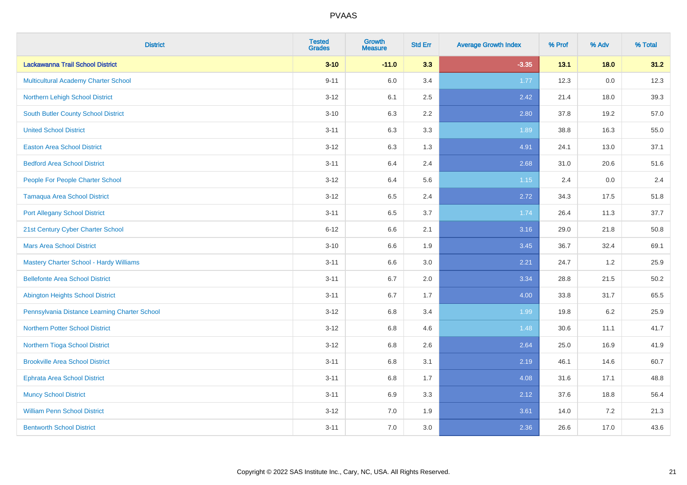| <b>District</b>                                | <b>Tested</b><br><b>Grades</b> | <b>Growth</b><br><b>Measure</b> | <b>Std Err</b> | <b>Average Growth Index</b> | % Prof | % Adv   | % Total |
|------------------------------------------------|--------------------------------|---------------------------------|----------------|-----------------------------|--------|---------|---------|
| Lackawanna Trail School District               | $3 - 10$                       | $-11.0$                         | 3.3            | $-3.35$                     | 13.1   | 18.0    | 31.2    |
| <b>Multicultural Academy Charter School</b>    | $9 - 11$                       | 6.0                             | 3.4            | 1.77                        | 12.3   | 0.0     | 12.3    |
| Northern Lehigh School District                | $3 - 12$                       | 6.1                             | 2.5            | 2.42                        | 21.4   | 18.0    | 39.3    |
| <b>South Butler County School District</b>     | $3 - 10$                       | 6.3                             | 2.2            | 2.80                        | 37.8   | 19.2    | 57.0    |
| <b>United School District</b>                  | $3 - 11$                       | 6.3                             | 3.3            | 1.89                        | 38.8   | 16.3    | 55.0    |
| <b>Easton Area School District</b>             | $3 - 12$                       | 6.3                             | 1.3            | 4.91                        | 24.1   | 13.0    | 37.1    |
| <b>Bedford Area School District</b>            | $3 - 11$                       | 6.4                             | 2.4            | 2.68                        | 31.0   | 20.6    | 51.6    |
| People For People Charter School               | $3 - 12$                       | 6.4                             | 5.6            | $1.15$                      | 2.4    | 0.0     | 2.4     |
| <b>Tamaqua Area School District</b>            | $3 - 12$                       | 6.5                             | 2.4            | 2.72                        | 34.3   | 17.5    | 51.8    |
| <b>Port Allegany School District</b>           | $3 - 11$                       | 6.5                             | 3.7            | 1.74                        | 26.4   | 11.3    | 37.7    |
| 21st Century Cyber Charter School              | $6 - 12$                       | 6.6                             | 2.1            | 3.16                        | 29.0   | 21.8    | 50.8    |
| <b>Mars Area School District</b>               | $3 - 10$                       | 6.6                             | 1.9            | 3.45                        | 36.7   | 32.4    | 69.1    |
| <b>Mastery Charter School - Hardy Williams</b> | $3 - 11$                       | 6.6                             | 3.0            | 2.21                        | 24.7   | $1.2\,$ | 25.9    |
| <b>Bellefonte Area School District</b>         | $3 - 11$                       | 6.7                             | 2.0            | 3.34                        | 28.8   | 21.5    | 50.2    |
| <b>Abington Heights School District</b>        | $3 - 11$                       | $6.7\,$                         | 1.7            | 4.00                        | 33.8   | 31.7    | 65.5    |
| Pennsylvania Distance Learning Charter School  | $3 - 12$                       | $6.8\,$                         | 3.4            | 1.99                        | 19.8   | 6.2     | 25.9    |
| <b>Northern Potter School District</b>         | $3 - 12$                       | 6.8                             | 4.6            | 1.48                        | 30.6   | 11.1    | 41.7    |
| Northern Tioga School District                 | $3 - 12$                       | 6.8                             | 2.6            | 2.64                        | 25.0   | 16.9    | 41.9    |
| <b>Brookville Area School District</b>         | $3 - 11$                       | $6.8\,$                         | 3.1            | 2.19                        | 46.1   | 14.6    | 60.7    |
| <b>Ephrata Area School District</b>            | $3 - 11$                       | $6.8\,$                         | 1.7            | 4.08                        | 31.6   | 17.1    | 48.8    |
| <b>Muncy School District</b>                   | $3 - 11$                       | 6.9                             | 3.3            | 2.12                        | 37.6   | 18.8    | 56.4    |
| <b>William Penn School District</b>            | $3 - 12$                       | $7.0\,$                         | 1.9            | 3.61                        | 14.0   | 7.2     | 21.3    |
| <b>Bentworth School District</b>               | $3 - 11$                       | 7.0                             | 3.0            | 2.36                        | 26.6   | 17.0    | 43.6    |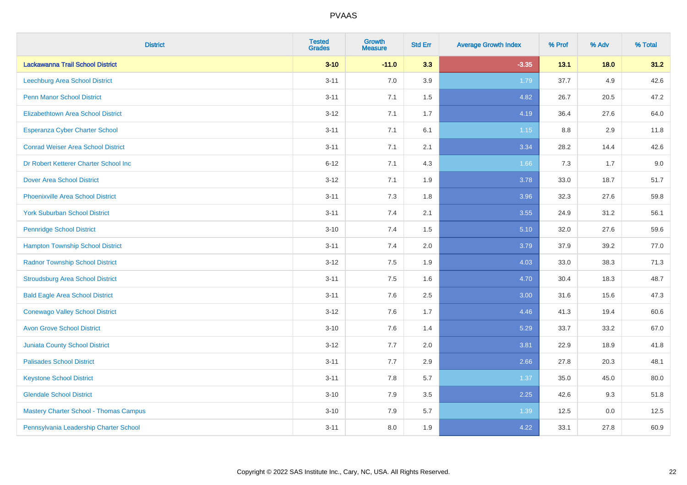| <b>District</b>                               | <b>Tested</b><br><b>Grades</b> | <b>Growth</b><br><b>Measure</b> | <b>Std Err</b> | <b>Average Growth Index</b> | % Prof | % Adv | % Total |
|-----------------------------------------------|--------------------------------|---------------------------------|----------------|-----------------------------|--------|-------|---------|
| Lackawanna Trail School District              | $3 - 10$                       | $-11.0$                         | 3.3            | $-3.35$                     | 13.1   | 18.0  | 31.2    |
| Leechburg Area School District                | $3 - 11$                       | 7.0                             | 3.9            | 1.79                        | 37.7   | 4.9   | 42.6    |
| <b>Penn Manor School District</b>             | $3 - 11$                       | 7.1                             | 1.5            | 4.82                        | 26.7   | 20.5  | 47.2    |
| <b>Elizabethtown Area School District</b>     | $3 - 12$                       | 7.1                             | 1.7            | 4.19                        | 36.4   | 27.6  | 64.0    |
| <b>Esperanza Cyber Charter School</b>         | $3 - 11$                       | 7.1                             | 6.1            | $1.15$                      | 8.8    | 2.9   | 11.8    |
| <b>Conrad Weiser Area School District</b>     | $3 - 11$                       | 7.1                             | 2.1            | 3.34                        | 28.2   | 14.4  | 42.6    |
| Dr Robert Ketterer Charter School Inc         | $6 - 12$                       | 7.1                             | 4.3            | 1.66                        | 7.3    | 1.7   | 9.0     |
| <b>Dover Area School District</b>             | $3 - 12$                       | 7.1                             | 1.9            | 3.78                        | 33.0   | 18.7  | 51.7    |
| <b>Phoenixville Area School District</b>      | $3 - 11$                       | 7.3                             | 1.8            | 3.96                        | 32.3   | 27.6  | 59.8    |
| <b>York Suburban School District</b>          | $3 - 11$                       | 7.4                             | 2.1            | 3.55                        | 24.9   | 31.2  | 56.1    |
| <b>Pennridge School District</b>              | $3 - 10$                       | 7.4                             | 1.5            | 5.10                        | 32.0   | 27.6  | 59.6    |
| <b>Hampton Township School District</b>       | $3 - 11$                       | 7.4                             | 2.0            | 3.79                        | 37.9   | 39.2  | 77.0    |
| <b>Radnor Township School District</b>        | $3 - 12$                       | $7.5\,$                         | 1.9            | 4.03                        | 33.0   | 38.3  | 71.3    |
| <b>Stroudsburg Area School District</b>       | $3 - 11$                       | 7.5                             | 1.6            | 4.70                        | 30.4   | 18.3  | 48.7    |
| <b>Bald Eagle Area School District</b>        | $3 - 11$                       | 7.6                             | 2.5            | 3.00                        | 31.6   | 15.6  | 47.3    |
| <b>Conewago Valley School District</b>        | $3 - 12$                       | 7.6                             | 1.7            | 4.46                        | 41.3   | 19.4  | 60.6    |
| <b>Avon Grove School District</b>             | $3 - 10$                       | 7.6                             | 1.4            | 5.29                        | 33.7   | 33.2  | 67.0    |
| <b>Juniata County School District</b>         | $3 - 12$                       | 7.7                             | 2.0            | 3.81                        | 22.9   | 18.9  | 41.8    |
| <b>Palisades School District</b>              | $3 - 11$                       | 7.7                             | 2.9            | 2.66                        | 27.8   | 20.3  | 48.1    |
| <b>Keystone School District</b>               | $3 - 11$                       | 7.8                             | 5.7            | 1.37                        | 35.0   | 45.0  | 80.0    |
| <b>Glendale School District</b>               | $3 - 10$                       | 7.9                             | 3.5            | 2.25                        | 42.6   | 9.3   | 51.8    |
| <b>Mastery Charter School - Thomas Campus</b> | $3 - 10$                       | 7.9                             | 5.7            | 1.39                        | 12.5   | 0.0   | 12.5    |
| Pennsylvania Leadership Charter School        | $3 - 11$                       | 8.0                             | 1.9            | 4.22                        | 33.1   | 27.8  | 60.9    |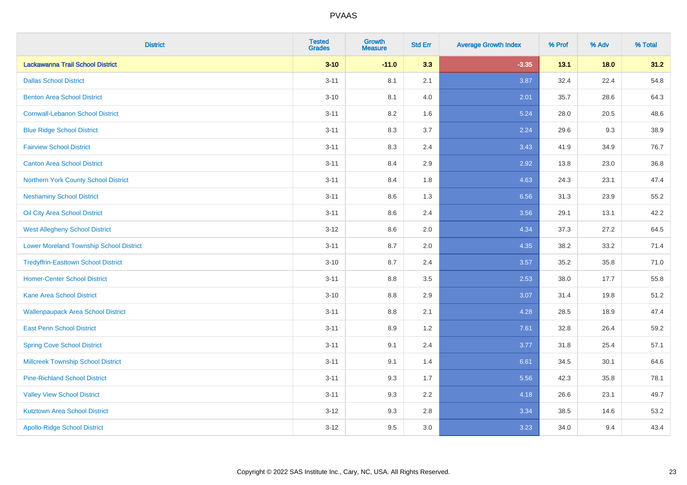| <b>District</b>                                | <b>Tested</b><br><b>Grades</b> | <b>Growth</b><br><b>Measure</b> | <b>Std Err</b> | <b>Average Growth Index</b> | % Prof | % Adv | % Total |
|------------------------------------------------|--------------------------------|---------------------------------|----------------|-----------------------------|--------|-------|---------|
| Lackawanna Trail School District               | $3 - 10$                       | $-11.0$                         | 3.3            | $-3.35$                     | 13.1   | 18.0  | 31.2    |
| <b>Dallas School District</b>                  | $3 - 11$                       | 8.1                             | 2.1            | 3.87                        | 32.4   | 22.4  | 54.8    |
| <b>Benton Area School District</b>             | $3 - 10$                       | 8.1                             | 4.0            | 2.01                        | 35.7   | 28.6  | 64.3    |
| <b>Cornwall-Lebanon School District</b>        | $3 - 11$                       | 8.2                             | 1.6            | 5.24                        | 28.0   | 20.5  | 48.6    |
| <b>Blue Ridge School District</b>              | $3 - 11$                       | 8.3                             | 3.7            | 2.24                        | 29.6   | 9.3   | 38.9    |
| <b>Fairview School District</b>                | $3 - 11$                       | 8.3                             | 2.4            | 3.43                        | 41.9   | 34.9  | 76.7    |
| <b>Canton Area School District</b>             | $3 - 11$                       | 8.4                             | 2.9            | 2.92                        | 13.8   | 23.0  | 36.8    |
| Northern York County School District           | $3 - 11$                       | 8.4                             | 1.8            | 4.63                        | 24.3   | 23.1  | 47.4    |
| <b>Neshaminy School District</b>               | $3 - 11$                       | 8.6                             | 1.3            | 6.56                        | 31.3   | 23.9  | 55.2    |
| Oil City Area School District                  | $3 - 11$                       | 8.6                             | 2.4            | 3.56                        | 29.1   | 13.1  | 42.2    |
| <b>West Allegheny School District</b>          | $3 - 12$                       | 8.6                             | 2.0            | 4.34                        | 37.3   | 27.2  | 64.5    |
| <b>Lower Moreland Township School District</b> | $3 - 11$                       | 8.7                             | 2.0            | 4.35                        | 38.2   | 33.2  | 71.4    |
| <b>Tredyffrin-Easttown School District</b>     | $3 - 10$                       | 8.7                             | 2.4            | 3.57                        | 35.2   | 35.8  | 71.0    |
| <b>Homer-Center School District</b>            | $3 - 11$                       | 8.8                             | 3.5            | 2.53                        | 38.0   | 17.7  | 55.8    |
| <b>Kane Area School District</b>               | $3 - 10$                       | 8.8                             | 2.9            | 3.07                        | 31.4   | 19.8  | 51.2    |
| <b>Wallenpaupack Area School District</b>      | $3 - 11$                       | 8.8                             | 2.1            | 4.28                        | 28.5   | 18.9  | 47.4    |
| <b>East Penn School District</b>               | $3 - 11$                       | 8.9                             | 1.2            | 7.61                        | 32.8   | 26.4  | 59.2    |
| <b>Spring Cove School District</b>             | $3 - 11$                       | 9.1                             | 2.4            | 3.77                        | 31.8   | 25.4  | 57.1    |
| <b>Millcreek Township School District</b>      | $3 - 11$                       | 9.1                             | 1.4            | 6.61                        | 34.5   | 30.1  | 64.6    |
| <b>Pine-Richland School District</b>           | $3 - 11$                       | 9.3                             | 1.7            | 5.56                        | 42.3   | 35.8  | 78.1    |
| <b>Valley View School District</b>             | $3 - 11$                       | 9.3                             | 2.2            | 4.18                        | 26.6   | 23.1  | 49.7    |
| <b>Kutztown Area School District</b>           | $3 - 12$                       | 9.3                             | 2.8            | 3.34                        | 38.5   | 14.6  | 53.2    |
| <b>Apollo-Ridge School District</b>            | $3 - 12$                       | 9.5                             | 3.0            | 3.23                        | 34.0   | 9.4   | 43.4    |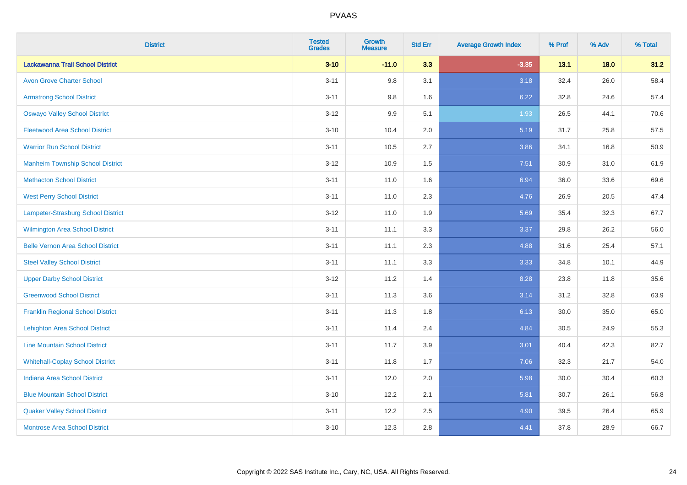| <b>District</b>                          | <b>Tested</b><br><b>Grades</b> | <b>Growth</b><br><b>Measure</b> | <b>Std Err</b> | <b>Average Growth Index</b> | % Prof | % Adv | % Total |
|------------------------------------------|--------------------------------|---------------------------------|----------------|-----------------------------|--------|-------|---------|
| Lackawanna Trail School District         | $3 - 10$                       | $-11.0$                         | 3.3            | $-3.35$                     | 13.1   | 18.0  | 31.2    |
| <b>Avon Grove Charter School</b>         | $3 - 11$                       | 9.8                             | 3.1            | 3.18                        | 32.4   | 26.0  | 58.4    |
| <b>Armstrong School District</b>         | $3 - 11$                       | 9.8                             | 1.6            | 6.22                        | 32.8   | 24.6  | 57.4    |
| <b>Oswayo Valley School District</b>     | $3 - 12$                       | 9.9                             | 5.1            | 1.93                        | 26.5   | 44.1  | 70.6    |
| <b>Fleetwood Area School District</b>    | $3 - 10$                       | 10.4                            | 2.0            | 5.19                        | 31.7   | 25.8  | 57.5    |
| <b>Warrior Run School District</b>       | $3 - 11$                       | 10.5                            | 2.7            | 3.86                        | 34.1   | 16.8  | 50.9    |
| <b>Manheim Township School District</b>  | $3-12$                         | 10.9                            | 1.5            | 7.51                        | 30.9   | 31.0  | 61.9    |
| <b>Methacton School District</b>         | $3 - 11$                       | 11.0                            | 1.6            | 6.94                        | 36.0   | 33.6  | 69.6    |
| <b>West Perry School District</b>        | $3 - 11$                       | 11.0                            | 2.3            | 4.76                        | 26.9   | 20.5  | 47.4    |
| Lampeter-Strasburg School District       | $3 - 12$                       | 11.0                            | 1.9            | 5.69                        | 35.4   | 32.3  | 67.7    |
| <b>Wilmington Area School District</b>   | $3 - 11$                       | 11.1                            | 3.3            | 3.37                        | 29.8   | 26.2  | 56.0    |
| <b>Belle Vernon Area School District</b> | $3 - 11$                       | 11.1                            | 2.3            | 4.88                        | 31.6   | 25.4  | 57.1    |
| <b>Steel Valley School District</b>      | $3 - 11$                       | 11.1                            | 3.3            | 3.33                        | 34.8   | 10.1  | 44.9    |
| <b>Upper Darby School District</b>       | $3 - 12$                       | 11.2                            | 1.4            | 8.28                        | 23.8   | 11.8  | 35.6    |
| <b>Greenwood School District</b>         | $3 - 11$                       | 11.3                            | 3.6            | 3.14                        | 31.2   | 32.8  | 63.9    |
| <b>Franklin Regional School District</b> | $3 - 11$                       | 11.3                            | 1.8            | 6.13                        | 30.0   | 35.0  | 65.0    |
| <b>Lehighton Area School District</b>    | $3 - 11$                       | 11.4                            | 2.4            | 4.84                        | 30.5   | 24.9  | 55.3    |
| <b>Line Mountain School District</b>     | $3 - 11$                       | 11.7                            | 3.9            | 3.01                        | 40.4   | 42.3  | 82.7    |
| <b>Whitehall-Coplay School District</b>  | $3 - 11$                       | 11.8                            | 1.7            | 7.06                        | 32.3   | 21.7  | 54.0    |
| <b>Indiana Area School District</b>      | $3 - 11$                       | 12.0                            | 2.0            | 5.98                        | 30.0   | 30.4  | 60.3    |
| <b>Blue Mountain School District</b>     | $3 - 10$                       | 12.2                            | 2.1            | 5.81                        | 30.7   | 26.1  | 56.8    |
| <b>Quaker Valley School District</b>     | $3 - 11$                       | 12.2                            | 2.5            | 4.90                        | 39.5   | 26.4  | 65.9    |
| <b>Montrose Area School District</b>     | $3 - 10$                       | 12.3                            | 2.8            | 4.41                        | 37.8   | 28.9  | 66.7    |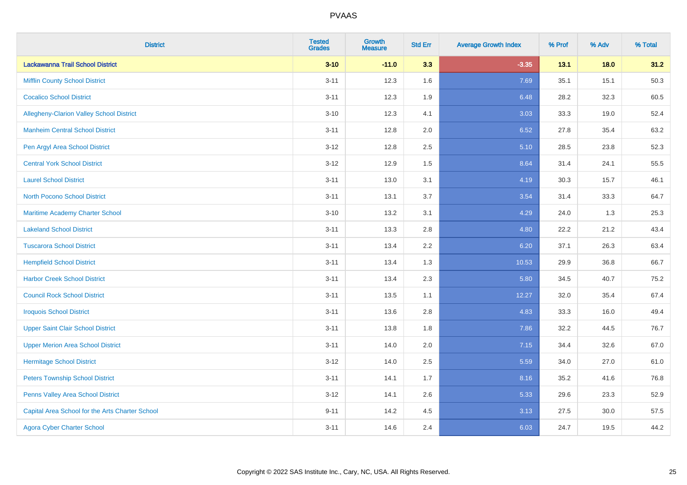| <b>District</b>                                 | <b>Tested</b><br><b>Grades</b> | <b>Growth</b><br><b>Measure</b> | <b>Std Err</b> | <b>Average Growth Index</b> | % Prof | % Adv  | % Total |
|-------------------------------------------------|--------------------------------|---------------------------------|----------------|-----------------------------|--------|--------|---------|
| Lackawanna Trail School District                | $3 - 10$                       | $-11.0$                         | 3.3            | $-3.35$                     | 13.1   | $18.0$ | 31.2    |
| <b>Mifflin County School District</b>           | $3 - 11$                       | 12.3                            | 1.6            | 7.69                        | 35.1   | 15.1   | 50.3    |
| <b>Cocalico School District</b>                 | $3 - 11$                       | 12.3                            | 1.9            | 6.48                        | 28.2   | 32.3   | 60.5    |
| Allegheny-Clarion Valley School District        | $3 - 10$                       | 12.3                            | 4.1            | 3.03                        | 33.3   | 19.0   | 52.4    |
| <b>Manheim Central School District</b>          | $3 - 11$                       | 12.8                            | 2.0            | 6.52                        | 27.8   | 35.4   | 63.2    |
| Pen Argyl Area School District                  | $3 - 12$                       | 12.8                            | 2.5            | 5.10                        | 28.5   | 23.8   | 52.3    |
| <b>Central York School District</b>             | $3 - 12$                       | 12.9                            | 1.5            | 8.64                        | 31.4   | 24.1   | 55.5    |
| <b>Laurel School District</b>                   | $3 - 11$                       | 13.0                            | 3.1            | 4.19                        | 30.3   | 15.7   | 46.1    |
| North Pocono School District                    | $3 - 11$                       | 13.1                            | 3.7            | 3.54                        | 31.4   | 33.3   | 64.7    |
| <b>Maritime Academy Charter School</b>          | $3 - 10$                       | 13.2                            | 3.1            | 4.29                        | 24.0   | 1.3    | 25.3    |
| <b>Lakeland School District</b>                 | $3 - 11$                       | 13.3                            | 2.8            | 4.80                        | 22.2   | 21.2   | 43.4    |
| <b>Tuscarora School District</b>                | $3 - 11$                       | 13.4                            | 2.2            | 6.20                        | 37.1   | 26.3   | 63.4    |
| <b>Hempfield School District</b>                | $3 - 11$                       | 13.4                            | 1.3            | 10.53                       | 29.9   | 36.8   | 66.7    |
| <b>Harbor Creek School District</b>             | $3 - 11$                       | 13.4                            | 2.3            | 5.80                        | 34.5   | 40.7   | 75.2    |
| <b>Council Rock School District</b>             | $3 - 11$                       | 13.5                            | 1.1            | 12.27                       | 32.0   | 35.4   | 67.4    |
| <b>Iroquois School District</b>                 | $3 - 11$                       | 13.6                            | 2.8            | 4.83                        | 33.3   | 16.0   | 49.4    |
| <b>Upper Saint Clair School District</b>        | $3 - 11$                       | 13.8                            | 1.8            | 7.86                        | 32.2   | 44.5   | 76.7    |
| <b>Upper Merion Area School District</b>        | $3 - 11$                       | 14.0                            | 2.0            | 7.15                        | 34.4   | 32.6   | 67.0    |
| <b>Hermitage School District</b>                | $3 - 12$                       | 14.0                            | 2.5            | 5.59                        | 34.0   | 27.0   | 61.0    |
| <b>Peters Township School District</b>          | $3 - 11$                       | 14.1                            | 1.7            | 8.16                        | 35.2   | 41.6   | 76.8    |
| Penns Valley Area School District               | $3 - 12$                       | 14.1                            | 2.6            | 5.33                        | 29.6   | 23.3   | 52.9    |
| Capital Area School for the Arts Charter School | $9 - 11$                       | 14.2                            | 4.5            | 3.13                        | 27.5   | 30.0   | 57.5    |
| <b>Agora Cyber Charter School</b>               | $3 - 11$                       | 14.6                            | 2.4            | 6.03                        | 24.7   | 19.5   | 44.2    |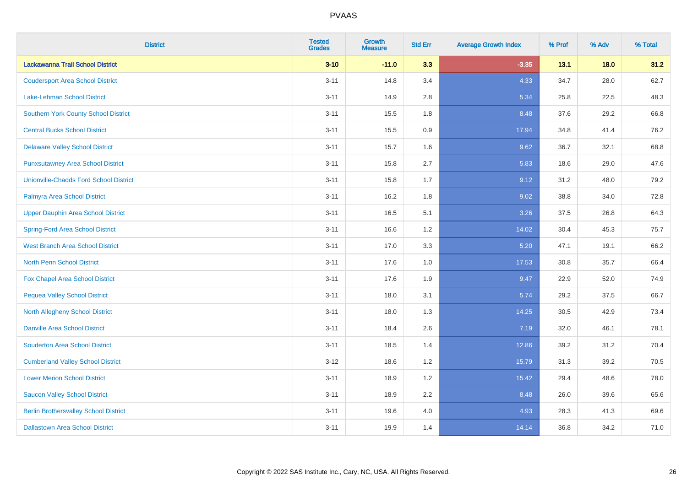| <b>District</b>                               | <b>Tested</b><br><b>Grades</b> | <b>Growth</b><br><b>Measure</b> | <b>Std Err</b> | <b>Average Growth Index</b> | % Prof | % Adv  | % Total |
|-----------------------------------------------|--------------------------------|---------------------------------|----------------|-----------------------------|--------|--------|---------|
| Lackawanna Trail School District              | $3 - 10$                       | $-11.0$                         | 3.3            | $-3.35$                     | 13.1   | $18.0$ | 31.2    |
| <b>Coudersport Area School District</b>       | $3 - 11$                       | 14.8                            | 3.4            | 4.33                        | 34.7   | 28.0   | 62.7    |
| Lake-Lehman School District                   | $3 - 11$                       | 14.9                            | 2.8            | 5.34                        | 25.8   | 22.5   | 48.3    |
| <b>Southern York County School District</b>   | $3 - 11$                       | 15.5                            | 1.8            | 8.48                        | 37.6   | 29.2   | 66.8    |
| <b>Central Bucks School District</b>          | $3 - 11$                       | 15.5                            | 0.9            | 17.94                       | 34.8   | 41.4   | 76.2    |
| <b>Delaware Valley School District</b>        | $3 - 11$                       | 15.7                            | 1.6            | 9.62                        | 36.7   | 32.1   | 68.8    |
| <b>Punxsutawney Area School District</b>      | $3 - 11$                       | 15.8                            | 2.7            | 5.83                        | 18.6   | 29.0   | 47.6    |
| <b>Unionville-Chadds Ford School District</b> | $3 - 11$                       | 15.8                            | 1.7            | 9.12                        | 31.2   | 48.0   | 79.2    |
| Palmyra Area School District                  | $3 - 11$                       | 16.2                            | 1.8            | 9.02                        | 38.8   | 34.0   | 72.8    |
| <b>Upper Dauphin Area School District</b>     | $3 - 11$                       | 16.5                            | 5.1            | 3.26                        | 37.5   | 26.8   | 64.3    |
| <b>Spring-Ford Area School District</b>       | $3 - 11$                       | 16.6                            | 1.2            | 14.02                       | 30.4   | 45.3   | 75.7    |
| <b>West Branch Area School District</b>       | $3 - 11$                       | 17.0                            | 3.3            | 5.20                        | 47.1   | 19.1   | 66.2    |
| North Penn School District                    | $3 - 11$                       | 17.6                            | 1.0            | 17.53                       | 30.8   | 35.7   | 66.4    |
| <b>Fox Chapel Area School District</b>        | $3 - 11$                       | 17.6                            | 1.9            | 9.47                        | 22.9   | 52.0   | 74.9    |
| <b>Pequea Valley School District</b>          | $3 - 11$                       | 18.0                            | 3.1            | 5.74                        | 29.2   | 37.5   | 66.7    |
| North Allegheny School District               | $3 - 11$                       | 18.0                            | 1.3            | 14.25                       | 30.5   | 42.9   | 73.4    |
| <b>Danville Area School District</b>          | $3 - 11$                       | 18.4                            | 2.6            | 7.19                        | 32.0   | 46.1   | 78.1    |
| <b>Souderton Area School District</b>         | $3 - 11$                       | 18.5                            | 1.4            | 12.86                       | 39.2   | 31.2   | 70.4    |
| <b>Cumberland Valley School District</b>      | $3 - 12$                       | 18.6                            | 1.2            | 15.79                       | 31.3   | 39.2   | 70.5    |
| <b>Lower Merion School District</b>           | $3 - 11$                       | 18.9                            | 1.2            | 15.42                       | 29.4   | 48.6   | 78.0    |
| <b>Saucon Valley School District</b>          | $3 - 11$                       | 18.9                            | 2.2            | 8.48                        | 26.0   | 39.6   | 65.6    |
| <b>Berlin Brothersvalley School District</b>  | $3 - 11$                       | 19.6                            | 4.0            | 4.93                        | 28.3   | 41.3   | 69.6    |
| <b>Dallastown Area School District</b>        | $3 - 11$                       | 19.9                            | 1.4            | 14.14                       | 36.8   | 34.2   | 71.0    |